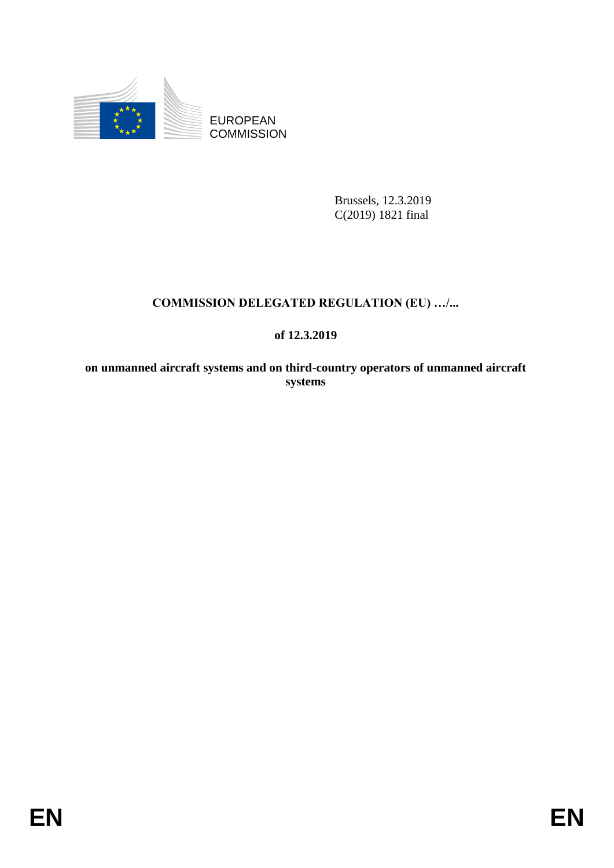

EUROPEAN **COMMISSION** 

> Brussels, 12.3.2019 C(2019) 1821 final

## **COMMISSION DELEGATED REGULATION (EU) …/...**

## **of 12.3.2019**

**on unmanned aircraft systems and on third-country operators of unmanned aircraft systems**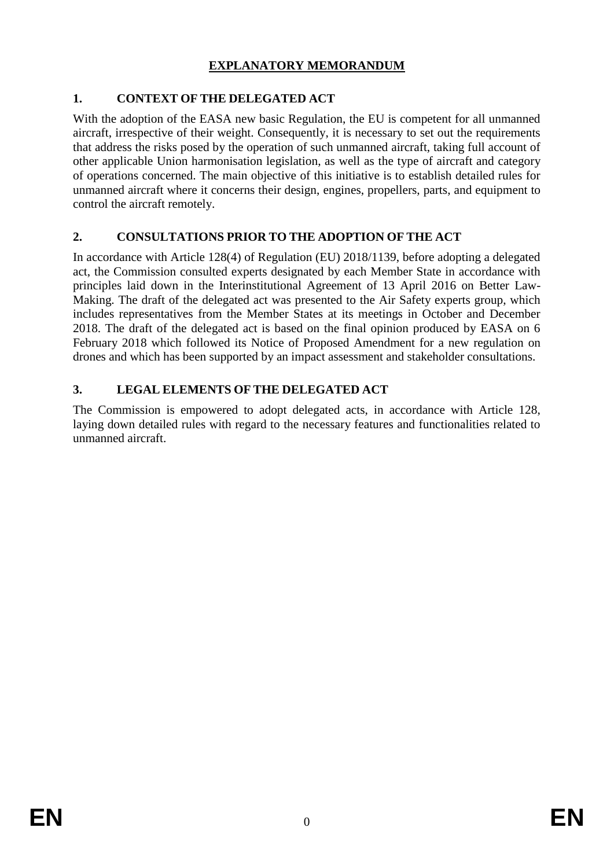## **EXPLANATORY MEMORANDUM**

## **1. CONTEXT OF THE DELEGATED ACT**

With the adoption of the EASA new basic Regulation, the EU is competent for all unmanned aircraft, irrespective of their weight. Consequently, it is necessary to set out the requirements that address the risks posed by the operation of such unmanned aircraft, taking full account of other applicable Union harmonisation legislation, as well as the type of aircraft and category of operations concerned. The main objective of this initiative is to establish detailed rules for unmanned aircraft where it concerns their design, engines, propellers, parts, and equipment to control the aircraft remotely.

## **2. CONSULTATIONS PRIOR TO THE ADOPTION OF THE ACT**

In accordance with Article 128(4) of Regulation (EU) 2018/1139, before adopting a delegated act, the Commission consulted experts designated by each Member State in accordance with principles laid down in the Interinstitutional Agreement of 13 April 2016 on Better Law-Making. The draft of the delegated act was presented to the Air Safety experts group, which includes representatives from the Member States at its meetings in October and December 2018. The draft of the delegated act is based on the final opinion produced by EASA on 6 February 2018 which followed its Notice of Proposed Amendment for a new regulation on drones and which has been supported by an impact assessment and stakeholder consultations.

## **3. LEGAL ELEMENTS OF THE DELEGATED ACT**

The Commission is empowered to adopt delegated acts, in accordance with Article 128, laying down detailed rules with regard to the necessary features and functionalities related to unmanned aircraft.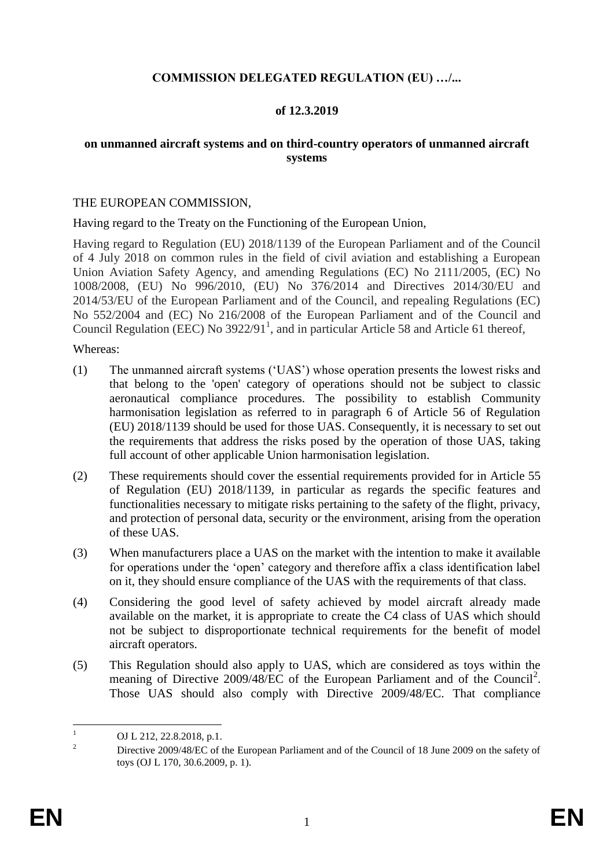#### **COMMISSION DELEGATED REGULATION (EU) …/...**

#### **of 12.3.2019**

#### **on unmanned aircraft systems and on third-country operators of unmanned aircraft systems**

#### THE EUROPEAN COMMISSION,

Having regard to the Treaty on the Functioning of the European Union,

Having regard to Regulation (EU) 2018/1139 of the European Parliament and of the Council of 4 July 2018 on common rules in the field of civil aviation and establishing a European Union Aviation Safety Agency, and amending Regulations (EC) No 2111/2005, (EC) No 1008/2008, (EU) No 996/2010, (EU) No 376/2014 and Directives 2014/30/EU and 2014/53/EU of the European Parliament and of the Council, and repealing Regulations (EC) No 552/2004 and (EC) No 216/2008 of the European Parliament and of the Council and Council Regulation (EEC) No  $3922/91<sup>1</sup>$ , and in particular Article 58 and Article 61 thereof,

#### Whereas:

- (1) The unmanned aircraft systems ('UAS') whose operation presents the lowest risks and that belong to the 'open' category of operations should not be subject to classic aeronautical compliance procedures. The possibility to establish Community harmonisation legislation as referred to in paragraph 6 of Article 56 of Regulation (EU) 2018/1139 should be used for those UAS. Consequently, it is necessary to set out the requirements that address the risks posed by the operation of those UAS, taking full account of other applicable Union harmonisation legislation.
- (2) These requirements should cover the essential requirements provided for in Article 55 of Regulation (EU) 2018/1139, in particular as regards the specific features and functionalities necessary to mitigate risks pertaining to the safety of the flight, privacy, and protection of personal data, security or the environment, arising from the operation of these UAS.
- (3) When manufacturers place a UAS on the market with the intention to make it available for operations under the 'open' category and therefore affix a class identification label on it, they should ensure compliance of the UAS with the requirements of that class.
- (4) Considering the good level of safety achieved by model aircraft already made available on the market, it is appropriate to create the C4 class of UAS which should not be subject to disproportionate technical requirements for the benefit of model aircraft operators.
- (5) This Regulation should also apply to UAS, which are considered as toys within the meaning of Directive 2009/48/EC of the European Parliament and of the Council<sup>2</sup>. Those UAS should also comply with Directive 2009/48/EC. That compliance

 $\mathbf{1}$ OJ L 212, 22.8.2018, p.1.

<sup>&</sup>lt;sup>2</sup> Directive 2009/48/EC of the European Parliament and of the Council of 18 June 2009 on the safety of toys (OJ L 170, 30.6.2009, p. 1).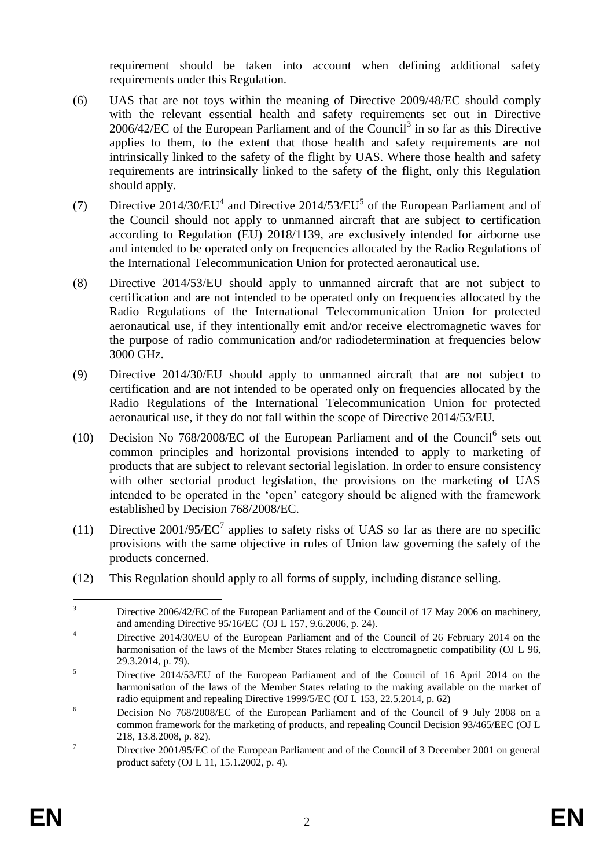requirement should be taken into account when defining additional safety requirements under this Regulation.

- (6) UAS that are not toys within the meaning of Directive 2009/48/EC should comply with the relevant essential health and safety requirements set out in Directive  $2006/42/EC$  of the European Parliament and of the Council<sup>3</sup> in so far as this Directive applies to them, to the extent that those health and safety requirements are not intrinsically linked to the safety of the flight by UAS. Where those health and safety requirements are intrinsically linked to the safety of the flight, only this Regulation should apply.
- (7) Directive  $2014/30/EU^4$  and Directive  $2014/53/EU^5$  of the European Parliament and of the Council should not apply to unmanned aircraft that are subject to certification according to Regulation (EU) 2018/1139, are exclusively intended for airborne use and intended to be operated only on frequencies allocated by the Radio Regulations of the International Telecommunication Union for protected aeronautical use.
- (8) Directive 2014/53/EU should apply to unmanned aircraft that are not subject to certification and are not intended to be operated only on frequencies allocated by the Radio Regulations of the International Telecommunication Union for protected aeronautical use, if they intentionally emit and/or receive electromagnetic waves for the purpose of radio communication and/or radiodetermination at frequencies below 3000 GHz.
- (9) Directive 2014/30/EU should apply to unmanned aircraft that are not subject to certification and are not intended to be operated only on frequencies allocated by the Radio Regulations of the International Telecommunication Union for protected aeronautical use, if they do not fall within the scope of Directive 2014/53/EU.
- (10) Decision No  $768/2008$ /EC of the European Parliament and of the Council<sup>6</sup> sets out common principles and horizontal provisions intended to apply to marketing of products that are subject to relevant sectorial legislation. In order to ensure consistency with other sectorial product legislation, the provisions on the marketing of UAS intended to be operated in the 'open' category should be aligned with the framework established by Decision 768/2008/EC.
- (11) Directive 2001/95/ $\mathsf{EC}^7$  applies to safety risks of UAS so far as there are no specific provisions with the same objective in rules of Union law governing the safety of the products concerned.
- (12) This Regulation should apply to all forms of supply, including distance selling.

 $\overline{3}$ Directive 2006/42/EC of the European Parliament and of the Council of 17 May 2006 on machinery, and amending Directive 95/16/EC (OJ L 157, 9.6.2006, p. 24).

<sup>&</sup>lt;sup>4</sup> Directive 2014/30/EU of the European Parliament and of the Council of 26 February 2014 on the harmonisation of the laws of the Member States relating to electromagnetic compatibility (OJ L 96, 29.3.2014, p. 79).

<sup>&</sup>lt;sup>5</sup> Directive 2014/53/EU of the European Parliament and of the Council of 16 April 2014 on the harmonisation of the laws of the Member States relating to the making available on the market of radio equipment and repealing Directive 1999/5/EC (OJ L 153, 22.5.2014, p. 62)

<sup>6</sup> Decision No 768/2008/EC of the European Parliament and of the Council of 9 July 2008 on a common framework for the marketing of products, and repealing Council Decision 93/465/EEC (OJ L 218, 13.8.2008, p. 82).

<sup>&</sup>lt;sup>7</sup> Directive 2001/95/EC of the European Parliament and of the Council of 3 December 2001 on general product safety (OJ L 11, 15.1.2002, p. 4).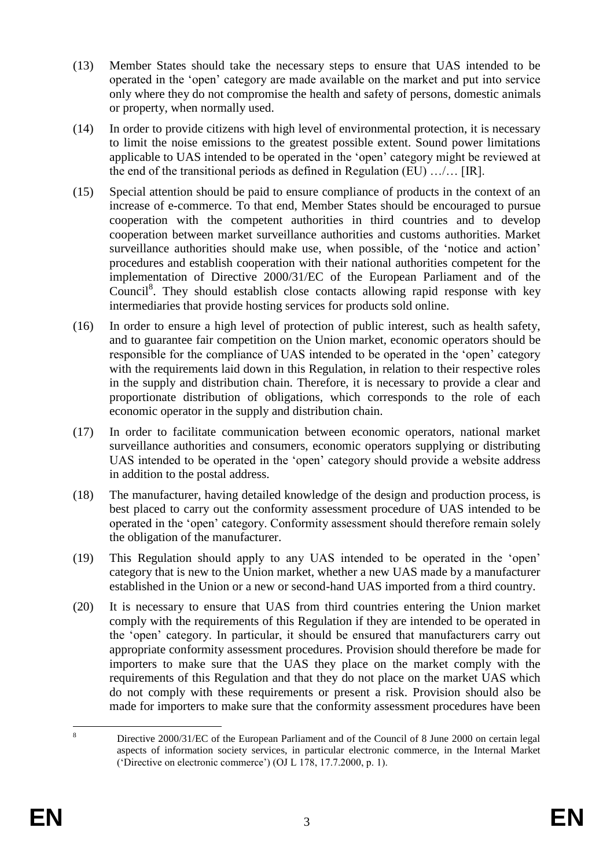- (13) Member States should take the necessary steps to ensure that UAS intended to be operated in the 'open' category are made available on the market and put into service only where they do not compromise the health and safety of persons, domestic animals or property, when normally used.
- (14) In order to provide citizens with high level of environmental protection, it is necessary to limit the noise emissions to the greatest possible extent. Sound power limitations applicable to UAS intended to be operated in the 'open' category might be reviewed at the end of the transitional periods as defined in Regulation (EU) …/… [IR].
- (15) Special attention should be paid to ensure compliance of products in the context of an increase of e-commerce. To that end, Member States should be encouraged to pursue cooperation with the competent authorities in third countries and to develop cooperation between market surveillance authorities and customs authorities. Market surveillance authorities should make use, when possible, of the 'notice and action' procedures and establish cooperation with their national authorities competent for the implementation of Directive 2000/31/EC of the European Parliament and of the Council<sup>8</sup>. They should establish close contacts allowing rapid response with key intermediaries that provide hosting services for products sold online.
- (16) In order to ensure a high level of protection of public interest, such as health safety, and to guarantee fair competition on the Union market, economic operators should be responsible for the compliance of UAS intended to be operated in the 'open' category with the requirements laid down in this Regulation, in relation to their respective roles in the supply and distribution chain. Therefore, it is necessary to provide a clear and proportionate distribution of obligations, which corresponds to the role of each economic operator in the supply and distribution chain.
- (17) In order to facilitate communication between economic operators, national market surveillance authorities and consumers, economic operators supplying or distributing UAS intended to be operated in the 'open' category should provide a website address in addition to the postal address.
- (18) The manufacturer, having detailed knowledge of the design and production process, is best placed to carry out the conformity assessment procedure of UAS intended to be operated in the 'open' category. Conformity assessment should therefore remain solely the obligation of the manufacturer.
- (19) This Regulation should apply to any UAS intended to be operated in the 'open' category that is new to the Union market, whether a new UAS made by a manufacturer established in the Union or a new or second-hand UAS imported from a third country.
- (20) It is necessary to ensure that UAS from third countries entering the Union market comply with the requirements of this Regulation if they are intended to be operated in the 'open' category. In particular, it should be ensured that manufacturers carry out appropriate conformity assessment procedures. Provision should therefore be made for importers to make sure that the UAS they place on the market comply with the requirements of this Regulation and that they do not place on the market UAS which do not comply with these requirements or present a risk. Provision should also be made for importers to make sure that the conformity assessment procedures have been

 $\mathbf{\hat{x}}$ <sup>8</sup> Directive 2000/31/EC of the European Parliament and of the Council of 8 June 2000 on certain legal aspects of information society services, in particular electronic commerce, in the Internal Market ('Directive on electronic commerce') (OJ L 178, 17.7.2000, p. 1).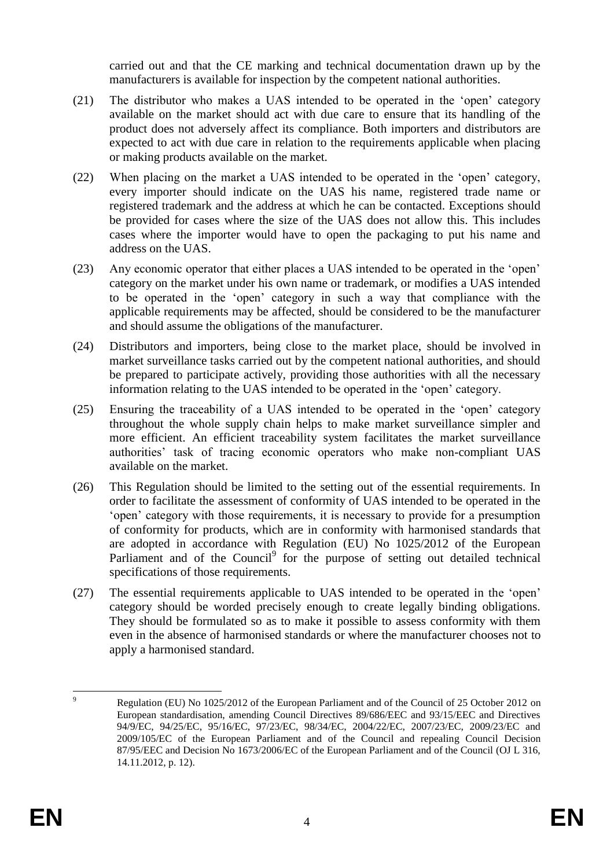carried out and that the CE marking and technical documentation drawn up by the manufacturers is available for inspection by the competent national authorities.

- (21) The distributor who makes a UAS intended to be operated in the 'open' category available on the market should act with due care to ensure that its handling of the product does not adversely affect its compliance. Both importers and distributors are expected to act with due care in relation to the requirements applicable when placing or making products available on the market.
- (22) When placing on the market a UAS intended to be operated in the 'open' category, every importer should indicate on the UAS his name, registered trade name or registered trademark and the address at which he can be contacted. Exceptions should be provided for cases where the size of the UAS does not allow this. This includes cases where the importer would have to open the packaging to put his name and address on the UAS.
- (23) Any economic operator that either places a UAS intended to be operated in the 'open' category on the market under his own name or trademark, or modifies a UAS intended to be operated in the 'open' category in such a way that compliance with the applicable requirements may be affected, should be considered to be the manufacturer and should assume the obligations of the manufacturer.
- (24) Distributors and importers, being close to the market place, should be involved in market surveillance tasks carried out by the competent national authorities, and should be prepared to participate actively, providing those authorities with all the necessary information relating to the UAS intended to be operated in the 'open' category.
- (25) Ensuring the traceability of a UAS intended to be operated in the 'open' category throughout the whole supply chain helps to make market surveillance simpler and more efficient. An efficient traceability system facilitates the market surveillance authorities' task of tracing economic operators who make non-compliant UAS available on the market.
- (26) This Regulation should be limited to the setting out of the essential requirements. In order to facilitate the assessment of conformity of UAS intended to be operated in the 'open' category with those requirements, it is necessary to provide for a presumption of conformity for products, which are in conformity with harmonised standards that are adopted in accordance with Regulation (EU) No 1025/2012 of the European Parliament and of the Council<sup>9</sup> for the purpose of setting out detailed technical specifications of those requirements.
- (27) The essential requirements applicable to UAS intended to be operated in the 'open' category should be worded precisely enough to create legally binding obligations. They should be formulated so as to make it possible to assess conformity with them even in the absence of harmonised standards or where the manufacturer chooses not to apply a harmonised standard.

 $\overline{Q}$ Regulation (EU) No 1025/2012 of the European Parliament and of the Council of 25 October 2012 on European standardisation, amending Council Directives 89/686/EEC and 93/15/EEC and Directives 94/9/EC, 94/25/EC, 95/16/EC, 97/23/EC, 98/34/EC, 2004/22/EC, 2007/23/EC, 2009/23/EC and 2009/105/EC of the European Parliament and of the Council and repealing Council Decision 87/95/EEC and Decision No 1673/2006/EC of the European Parliament and of the Council (OJ L 316, 14.11.2012, p. 12).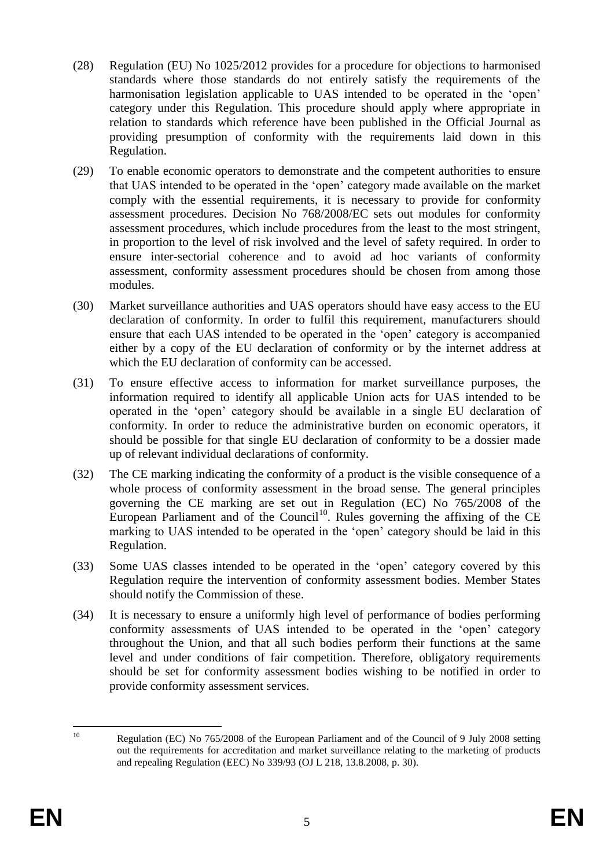- (28) Regulation (EU) No 1025/2012 provides for a procedure for objections to harmonised standards where those standards do not entirely satisfy the requirements of the harmonisation legislation applicable to UAS intended to be operated in the 'open' category under this Regulation. This procedure should apply where appropriate in relation to standards which reference have been published in the Official Journal as providing presumption of conformity with the requirements laid down in this Regulation.
- (29) To enable economic operators to demonstrate and the competent authorities to ensure that UAS intended to be operated in the 'open' category made available on the market comply with the essential requirements, it is necessary to provide for conformity assessment procedures. Decision No 768/2008/EC sets out modules for conformity assessment procedures, which include procedures from the least to the most stringent, in proportion to the level of risk involved and the level of safety required. In order to ensure inter-sectorial coherence and to avoid ad hoc variants of conformity assessment, conformity assessment procedures should be chosen from among those modules.
- (30) Market surveillance authorities and UAS operators should have easy access to the EU declaration of conformity. In order to fulfil this requirement, manufacturers should ensure that each UAS intended to be operated in the 'open' category is accompanied either by a copy of the EU declaration of conformity or by the internet address at which the EU declaration of conformity can be accessed.
- (31) To ensure effective access to information for market surveillance purposes, the information required to identify all applicable Union acts for UAS intended to be operated in the 'open' category should be available in a single EU declaration of conformity. In order to reduce the administrative burden on economic operators, it should be possible for that single EU declaration of conformity to be a dossier made up of relevant individual declarations of conformity.
- (32) The CE marking indicating the conformity of a product is the visible consequence of a whole process of conformity assessment in the broad sense. The general principles governing the CE marking are set out in Regulation (EC) No 765/2008 of the European Parliament and of the Council<sup>10</sup>. Rules governing the affixing of the CE marking to UAS intended to be operated in the 'open' category should be laid in this Regulation.
- (33) Some UAS classes intended to be operated in the 'open' category covered by this Regulation require the intervention of conformity assessment bodies. Member States should notify the Commission of these.
- (34) It is necessary to ensure a uniformly high level of performance of bodies performing conformity assessments of UAS intended to be operated in the 'open' category throughout the Union, and that all such bodies perform their functions at the same level and under conditions of fair competition. Therefore, obligatory requirements should be set for conformity assessment bodies wishing to be notified in order to provide conformity assessment services.

 $10$ 

Regulation (EC) No 765/2008 of the European Parliament and of the Council of 9 July 2008 setting out the requirements for accreditation and market surveillance relating to the marketing of products and repealing Regulation (EEC) No 339/93 (OJ L 218, 13.8.2008, p. 30).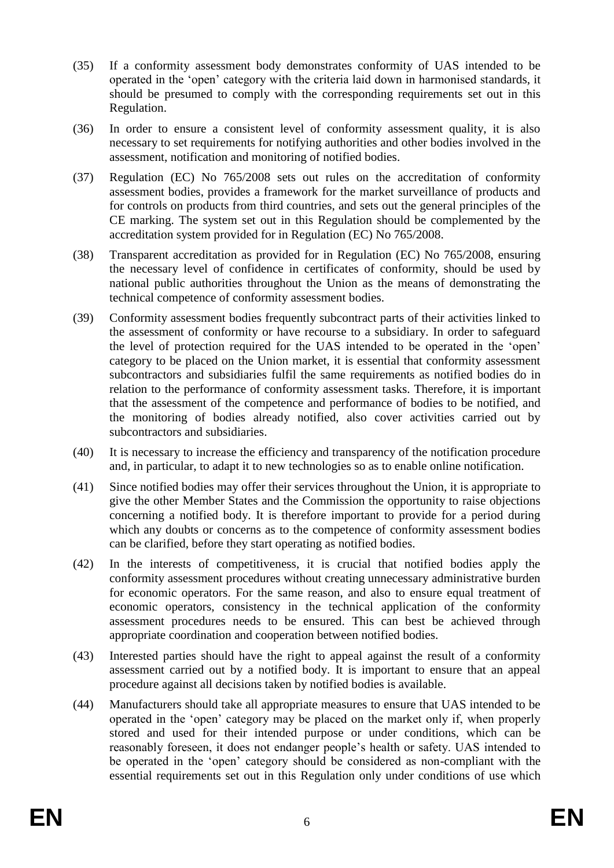- (35) If a conformity assessment body demonstrates conformity of UAS intended to be operated in the 'open' category with the criteria laid down in harmonised standards, it should be presumed to comply with the corresponding requirements set out in this Regulation.
- (36) In order to ensure a consistent level of conformity assessment quality, it is also necessary to set requirements for notifying authorities and other bodies involved in the assessment, notification and monitoring of notified bodies.
- (37) Regulation (EC) No 765/2008 sets out rules on the accreditation of conformity assessment bodies, provides a framework for the market surveillance of products and for controls on products from third countries, and sets out the general principles of the CE marking. The system set out in this Regulation should be complemented by the accreditation system provided for in Regulation (EC) No 765/2008.
- (38) Transparent accreditation as provided for in Regulation (EC) No 765/2008, ensuring the necessary level of confidence in certificates of conformity, should be used by national public authorities throughout the Union as the means of demonstrating the technical competence of conformity assessment bodies.
- (39) Conformity assessment bodies frequently subcontract parts of their activities linked to the assessment of conformity or have recourse to a subsidiary. In order to safeguard the level of protection required for the UAS intended to be operated in the 'open' category to be placed on the Union market, it is essential that conformity assessment subcontractors and subsidiaries fulfil the same requirements as notified bodies do in relation to the performance of conformity assessment tasks. Therefore, it is important that the assessment of the competence and performance of bodies to be notified, and the monitoring of bodies already notified, also cover activities carried out by subcontractors and subsidiaries.
- (40) It is necessary to increase the efficiency and transparency of the notification procedure and, in particular, to adapt it to new technologies so as to enable online notification.
- (41) Since notified bodies may offer their services throughout the Union, it is appropriate to give the other Member States and the Commission the opportunity to raise objections concerning a notified body. It is therefore important to provide for a period during which any doubts or concerns as to the competence of conformity assessment bodies can be clarified, before they start operating as notified bodies.
- (42) In the interests of competitiveness, it is crucial that notified bodies apply the conformity assessment procedures without creating unnecessary administrative burden for economic operators. For the same reason, and also to ensure equal treatment of economic operators, consistency in the technical application of the conformity assessment procedures needs to be ensured. This can best be achieved through appropriate coordination and cooperation between notified bodies.
- (43) Interested parties should have the right to appeal against the result of a conformity assessment carried out by a notified body. It is important to ensure that an appeal procedure against all decisions taken by notified bodies is available.
- (44) Manufacturers should take all appropriate measures to ensure that UAS intended to be operated in the 'open' category may be placed on the market only if, when properly stored and used for their intended purpose or under conditions, which can be reasonably foreseen, it does not endanger people's health or safety. UAS intended to be operated in the 'open' category should be considered as non-compliant with the essential requirements set out in this Regulation only under conditions of use which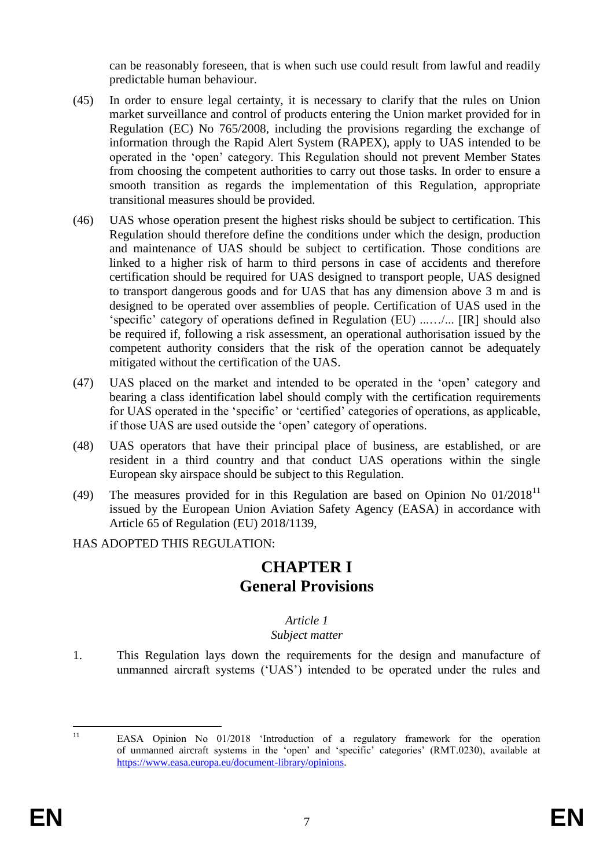can be reasonably foreseen, that is when such use could result from lawful and readily predictable human behaviour.

- (45) In order to ensure legal certainty, it is necessary to clarify that the rules on Union market surveillance and control of products entering the Union market provided for in Regulation (EC) No 765/2008, including the provisions regarding the exchange of information through the Rapid Alert System (RAPEX), apply to UAS intended to be operated in the 'open' category. This Regulation should not prevent Member States from choosing the competent authorities to carry out those tasks. In order to ensure a smooth transition as regards the implementation of this Regulation, appropriate transitional measures should be provided.
- (46) UAS whose operation present the highest risks should be subject to certification. This Regulation should therefore define the conditions under which the design, production and maintenance of UAS should be subject to certification. Those conditions are linked to a higher risk of harm to third persons in case of accidents and therefore certification should be required for UAS designed to transport people, UAS designed to transport dangerous goods and for UAS that has any dimension above 3 m and is designed to be operated over assemblies of people. Certification of UAS used in the 'specific' category of operations defined in Regulation (EU) ...…/... [IR] should also be required if, following a risk assessment, an operational authorisation issued by the competent authority considers that the risk of the operation cannot be adequately mitigated without the certification of the UAS.
- (47) UAS placed on the market and intended to be operated in the 'open' category and bearing a class identification label should comply with the certification requirements for UAS operated in the 'specific' or 'certified' categories of operations, as applicable, if those UAS are used outside the 'open' category of operations.
- (48) UAS operators that have their principal place of business, are established, or are resident in a third country and that conduct UAS operations within the single European sky airspace should be subject to this Regulation.
- (49) The measures provided for in this Regulation are based on Opinion No  $01/2018<sup>11</sup>$ issued by the European Union Aviation Safety Agency (EASA) in accordance with Article 65 of Regulation (EU) 2018/1139,

#### HAS ADOPTED THIS REGULATION:

# **CHAPTER I General Provisions**

#### *Article 1*

#### *Subject matter*

1. This Regulation lays down the requirements for the design and manufacture of unmanned aircraft systems ('UAS') intended to be operated under the rules and

 $\overline{11}$ 

EASA Opinion No 01/2018 'Introduction of a regulatory framework for the operation of unmanned aircraft systems in the 'open' and 'specific' categories' (RMT.0230), available at [https://www.easa.europa.eu/document-library/opinions.](https://www.easa.europa.eu/document-library/opinions)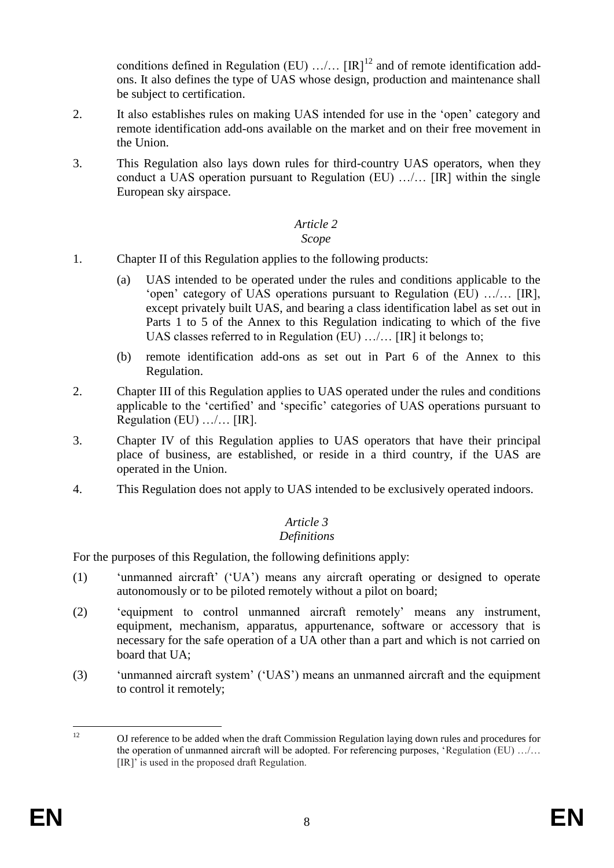conditions defined in Regulation (EU)  $\ldots$ , [IR]<sup>12</sup> and of remote identification addons. It also defines the type of UAS whose design, production and maintenance shall be subject to certification.

- 2. It also establishes rules on making UAS intended for use in the 'open' category and remote identification add-ons available on the market and on their free movement in the Union.
- 3. This Regulation also lays down rules for third-country UAS operators, when they conduct a UAS operation pursuant to Regulation (EU) …/… [IR] within the single European sky airspace.

#### *Article 2 Scope*

- 1. Chapter II of this Regulation applies to the following products:
	- (a) UAS intended to be operated under the rules and conditions applicable to the 'open' category of UAS operations pursuant to Regulation (EU) …/… [IR], except privately built UAS, and bearing a class identification label as set out in Parts 1 to 5 of the Annex to this Regulation indicating to which of the five UAS classes referred to in Regulation (EU) …/… [IR] it belongs to;
	- (b) remote identification add-ons as set out in Part 6 of the Annex to this Regulation.
- 2. Chapter III of this Regulation applies to UAS operated under the rules and conditions applicable to the 'certified' and 'specific' categories of UAS operations pursuant to Regulation (EU) …/… [IR].
- 3. Chapter IV of this Regulation applies to UAS operators that have their principal place of business, are established, or reside in a third country, if the UAS are operated in the Union.
- 4. This Regulation does not apply to UAS intended to be exclusively operated indoors.

#### *Article 3 Definitions*

For the purposes of this Regulation, the following definitions apply:

- (1) 'unmanned aircraft' ('UA') means any aircraft operating or designed to operate autonomously or to be piloted remotely without a pilot on board;
- (2) 'equipment to control unmanned aircraft remotely' means any instrument, equipment, mechanism, apparatus, appurtenance, software or accessory that is necessary for the safe operation of a UA other than a part and which is not carried on board that UA;
- (3) 'unmanned aircraft system' ('UAS') means an unmanned aircraft and the equipment to control it remotely;

 $12<sup>12</sup>$ <sup>12</sup> OJ reference to be added when the draft Commission Regulation laying down rules and procedures for the operation of unmanned aircraft will be adopted. For referencing purposes, 'Regulation (EU) …/… [IR]' is used in the proposed draft Regulation.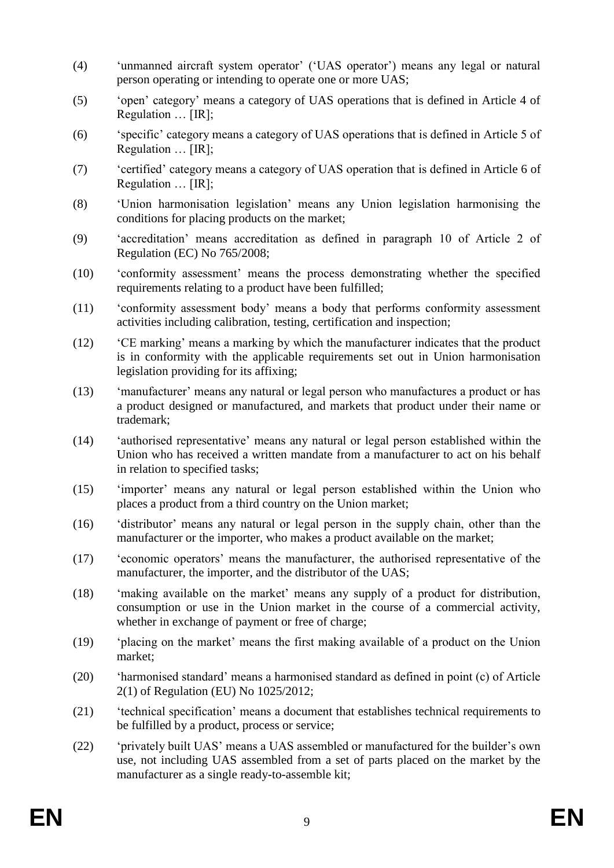- (4) 'unmanned aircraft system operator' ('UAS operator') means any legal or natural person operating or intending to operate one or more UAS;
- (5) 'open' category' means a category of UAS operations that is defined in Article 4 of Regulation … [IR];
- (6) 'specific' category means a category of UAS operations that is defined in Article 5 of Regulation … [IR];
- (7) 'certified' category means a category of UAS operation that is defined in Article 6 of Regulation … [IR];
- (8) 'Union harmonisation legislation' means any Union legislation harmonising the conditions for placing products on the market;
- (9) 'accreditation' means accreditation as defined in paragraph 10 of Article 2 of Regulation (EC) No 765/2008;
- (10) 'conformity assessment' means the process demonstrating whether the specified requirements relating to a product have been fulfilled;
- (11) 'conformity assessment body' means a body that performs conformity assessment activities including calibration, testing, certification and inspection;
- (12) 'CE marking' means a marking by which the manufacturer indicates that the product is in conformity with the applicable requirements set out in Union harmonisation legislation providing for its affixing;
- (13) 'manufacturer' means any natural or legal person who manufactures a product or has a product designed or manufactured, and markets that product under their name or trademark;
- (14) 'authorised representative' means any natural or legal person established within the Union who has received a written mandate from a manufacturer to act on his behalf in relation to specified tasks;
- (15) 'importer' means any natural or legal person established within the Union who places a product from a third country on the Union market;
- (16) 'distributor' means any natural or legal person in the supply chain, other than the manufacturer or the importer, who makes a product available on the market;
- (17) 'economic operators' means the manufacturer, the authorised representative of the manufacturer, the importer, and the distributor of the UAS;
- (18) 'making available on the market' means any supply of a product for distribution, consumption or use in the Union market in the course of a commercial activity, whether in exchange of payment or free of charge;
- (19) 'placing on the market' means the first making available of a product on the Union market;
- (20) 'harmonised standard' means a harmonised standard as defined in point (c) of Article 2(1) of Regulation (EU) No 1025/2012;
- (21) 'technical specification' means a document that establishes technical requirements to be fulfilled by a product, process or service;
- (22) 'privately built UAS' means a UAS assembled or manufactured for the builder's own use, not including UAS assembled from a set of parts placed on the market by the manufacturer as a single ready-to-assemble kit;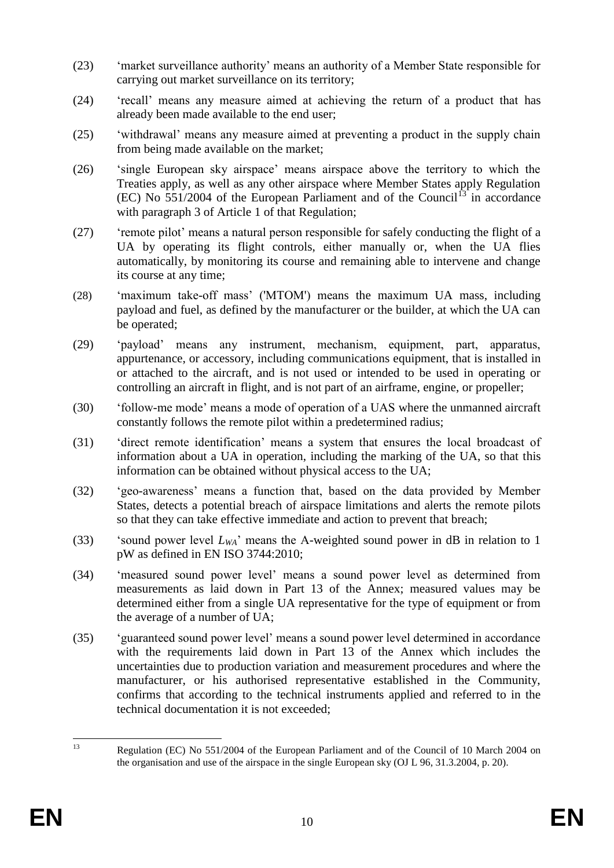- (23) 'market surveillance authority' means an authority of a Member State responsible for carrying out market surveillance on its territory;
- (24) 'recall' means any measure aimed at achieving the return of a product that has already been made available to the end user;
- (25) 'withdrawal' means any measure aimed at preventing a product in the supply chain from being made available on the market;
- (26) 'single European sky airspace' means airspace above the territory to which the Treaties apply, as well as any other airspace where Member States apply Regulation  $(EC)$  No 551/2004 of the European Parliament and of the Council<sup>13</sup> in accordance with paragraph 3 of Article 1 of that Regulation;
- (27) 'remote pilot' means a natural person responsible for safely conducting the flight of a UA by operating its flight controls, either manually or, when the UA flies automatically, by monitoring its course and remaining able to intervene and change its course at any time;
- (28) 'maximum take-off mass' ('MTOM') means the maximum UA mass, including payload and fuel, as defined by the manufacturer or the builder, at which the UA can be operated;
- (29) 'payload' means any instrument, mechanism, equipment, part, apparatus, appurtenance, or accessory, including communications equipment, that is installed in or attached to the aircraft, and is not used or intended to be used in operating or controlling an aircraft in flight, and is not part of an airframe, engine, or propeller;
- (30) 'follow-me mode' means a mode of operation of a UAS where the unmanned aircraft constantly follows the remote pilot within a predetermined radius;
- (31) 'direct remote identification' means a system that ensures the local broadcast of information about a UA in operation, including the marking of the UA, so that this information can be obtained without physical access to the UA;
- (32) 'geo-awareness' means a function that, based on the data provided by Member States, detects a potential breach of airspace limitations and alerts the remote pilots so that they can take effective immediate and action to prevent that breach;
- (33) 'sound power level *LWA*' means the A-weighted sound power in dB in relation to 1 pW as defined in EN ISO 3744:2010;
- (34) 'measured sound power level' means a sound power level as determined from measurements as laid down in Part 13 of the Annex; measured values may be determined either from a single UA representative for the type of equipment or from the average of a number of UA;
- (35) 'guaranteed sound power level' means a sound power level determined in accordance with the requirements laid down in Part 13 of the Annex which includes the uncertainties due to production variation and measurement procedures and where the manufacturer, or his authorised representative established in the Community, confirms that according to the technical instruments applied and referred to in the technical documentation it is not exceeded;

 $\overline{12}$ 

Regulation (EC) No 551/2004 of the European Parliament and of the Council of 10 March 2004 on the organisation and use of the airspace in the single European sky (OJ L 96, 31.3.2004, p. 20).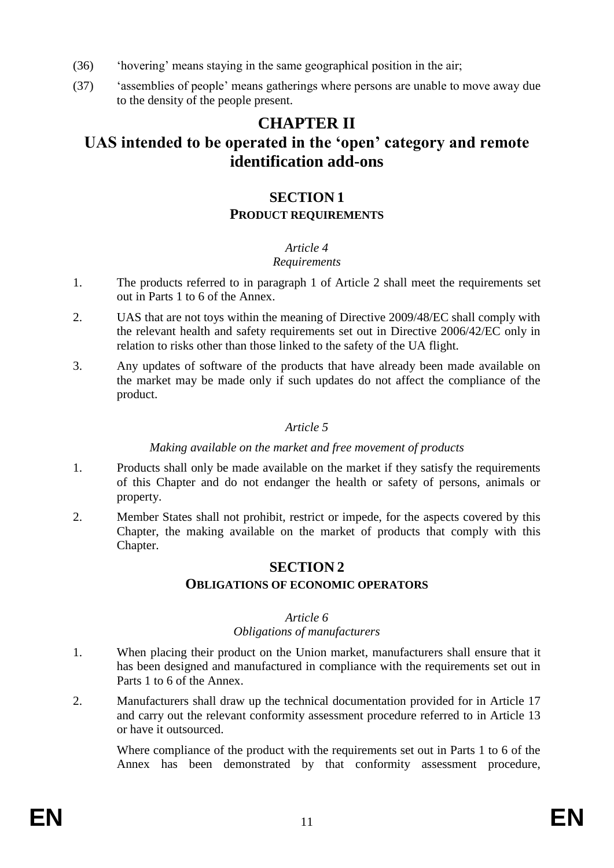- (36) 'hovering' means staying in the same geographical position in the air;
- (37) 'assemblies of people' means gatherings where persons are unable to move away due to the density of the people present.

# **CHAPTER II UAS intended to be operated in the 'open' category and remote identification add-ons**

## **SECTION 1 PRODUCT REQUIREMENTS**

#### *Article 4*

## *Requirements*

- 1. The products referred to in paragraph 1 of Article 2 shall meet the requirements set out in Parts 1 to 6 of the Annex.
- 2. UAS that are not toys within the meaning of Directive 2009/48/EC shall comply with the relevant health and safety requirements set out in Directive 2006/42/EC only in relation to risks other than those linked to the safety of the UA flight.
- 3. Any updates of software of the products that have already been made available on the market may be made only if such updates do not affect the compliance of the product.

## *Article 5*

#### *Making available on the market and free movement of products*

- 1. Products shall only be made available on the market if they satisfy the requirements of this Chapter and do not endanger the health or safety of persons, animals or property.
- 2. Member States shall not prohibit, restrict or impede, for the aspects covered by this Chapter, the making available on the market of products that comply with this Chapter.

## **SECTION 2**

#### **OBLIGATIONS OF ECONOMIC OPERATORS**

#### *Article 6*

### *Obligations of manufacturers*

- 1. When placing their product on the Union market, manufacturers shall ensure that it has been designed and manufactured in compliance with the requirements set out in Parts 1 to 6 of the Annex.
- 2. Manufacturers shall draw up the technical documentation provided for in Article 17 and carry out the relevant conformity assessment procedure referred to in Article 13 or have it outsourced.

Where compliance of the product with the requirements set out in Parts 1 to 6 of the Annex has been demonstrated by that conformity assessment procedure,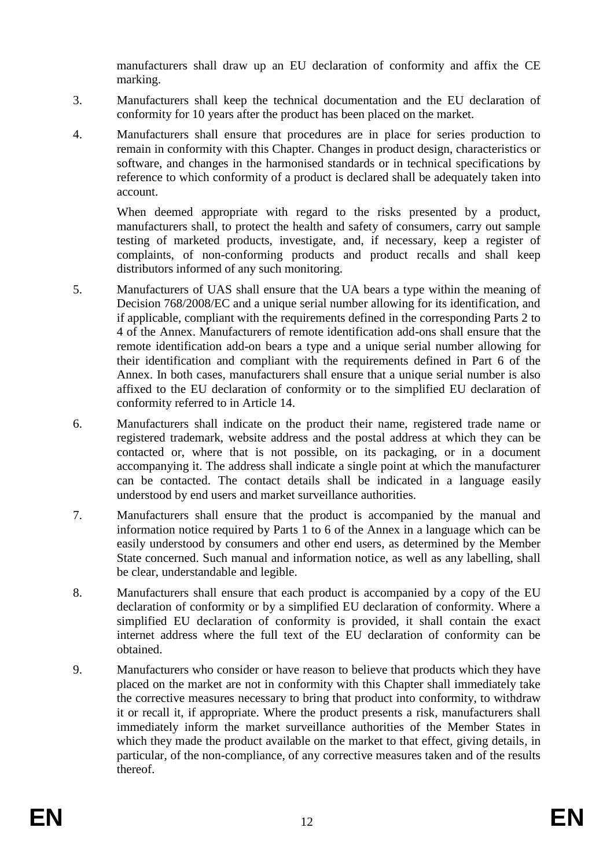manufacturers shall draw up an EU declaration of conformity and affix the CE marking.

- 3. Manufacturers shall keep the technical documentation and the EU declaration of conformity for 10 years after the product has been placed on the market.
- 4. Manufacturers shall ensure that procedures are in place for series production to remain in conformity with this Chapter. Changes in product design, characteristics or software, and changes in the harmonised standards or in technical specifications by reference to which conformity of a product is declared shall be adequately taken into account.

When deemed appropriate with regard to the risks presented by a product, manufacturers shall, to protect the health and safety of consumers, carry out sample testing of marketed products, investigate, and, if necessary, keep a register of complaints, of non-conforming products and product recalls and shall keep distributors informed of any such monitoring.

- 5. Manufacturers of UAS shall ensure that the UA bears a type within the meaning of Decision 768/2008/EC and a unique serial number allowing for its identification, and if applicable, compliant with the requirements defined in the corresponding Parts 2 to 4 of the Annex. Manufacturers of remote identification add-ons shall ensure that the remote identification add-on bears a type and a unique serial number allowing for their identification and compliant with the requirements defined in Part 6 of the Annex. In both cases, manufacturers shall ensure that a unique serial number is also affixed to the EU declaration of conformity or to the simplified EU declaration of conformity referred to in Article 14.
- 6. Manufacturers shall indicate on the product their name, registered trade name or registered trademark, website address and the postal address at which they can be contacted or, where that is not possible, on its packaging, or in a document accompanying it. The address shall indicate a single point at which the manufacturer can be contacted. The contact details shall be indicated in a language easily understood by end users and market surveillance authorities.
- 7. Manufacturers shall ensure that the product is accompanied by the manual and information notice required by Parts 1 to 6 of the Annex in a language which can be easily understood by consumers and other end users, as determined by the Member State concerned. Such manual and information notice, as well as any labelling, shall be clear, understandable and legible.
- 8. Manufacturers shall ensure that each product is accompanied by a copy of the EU declaration of conformity or by a simplified EU declaration of conformity. Where a simplified EU declaration of conformity is provided, it shall contain the exact internet address where the full text of the EU declaration of conformity can be obtained.
- 9. Manufacturers who consider or have reason to believe that products which they have placed on the market are not in conformity with this Chapter shall immediately take the corrective measures necessary to bring that product into conformity, to withdraw it or recall it, if appropriate. Where the product presents a risk, manufacturers shall immediately inform the market surveillance authorities of the Member States in which they made the product available on the market to that effect, giving details, in particular, of the non-compliance, of any corrective measures taken and of the results thereof.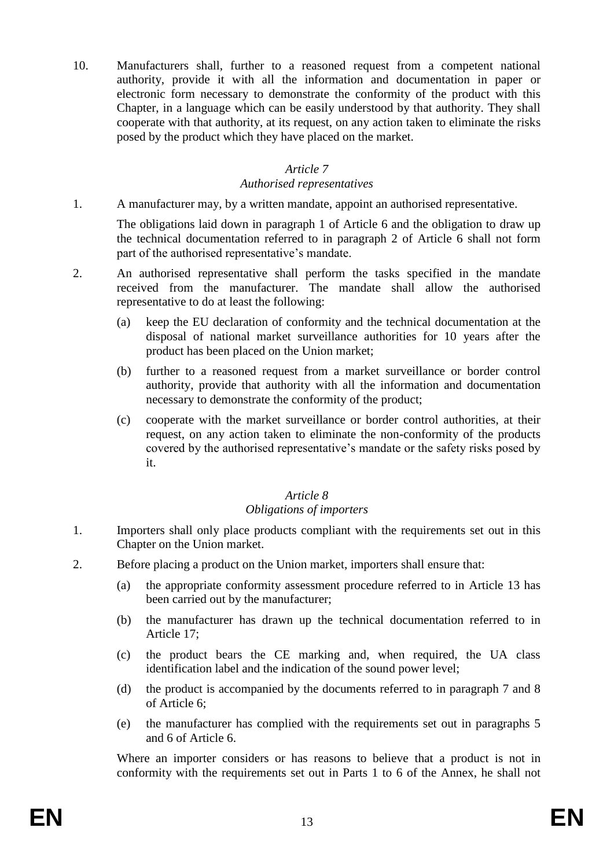10. Manufacturers shall, further to a reasoned request from a competent national authority, provide it with all the information and documentation in paper or electronic form necessary to demonstrate the conformity of the product with this Chapter, in a language which can be easily understood by that authority. They shall cooperate with that authority, at its request, on any action taken to eliminate the risks posed by the product which they have placed on the market.

#### *Article 7*

#### *Authorised representatives*

1. A manufacturer may, by a written mandate, appoint an authorised representative.

The obligations laid down in paragraph 1 of Article 6 and the obligation to draw up the technical documentation referred to in paragraph 2 of Article 6 shall not form part of the authorised representative's mandate.

- 2. An authorised representative shall perform the tasks specified in the mandate received from the manufacturer. The mandate shall allow the authorised representative to do at least the following:
	- (a) keep the EU declaration of conformity and the technical documentation at the disposal of national market surveillance authorities for 10 years after the product has been placed on the Union market;
	- (b) further to a reasoned request from a market surveillance or border control authority, provide that authority with all the information and documentation necessary to demonstrate the conformity of the product;
	- (c) cooperate with the market surveillance or border control authorities, at their request, on any action taken to eliminate the non-conformity of the products covered by the authorised representative's mandate or the safety risks posed by it.

#### *Article 8*

#### *Obligations of importers*

- 1. Importers shall only place products compliant with the requirements set out in this Chapter on the Union market.
- 2. Before placing a product on the Union market, importers shall ensure that:
	- (a) the appropriate conformity assessment procedure referred to in Article 13 has been carried out by the manufacturer;
	- (b) the manufacturer has drawn up the technical documentation referred to in Article 17;
	- (c) the product bears the CE marking and, when required, the UA class identification label and the indication of the sound power level;
	- (d) the product is accompanied by the documents referred to in paragraph 7 and 8 of Article 6;
	- (e) the manufacturer has complied with the requirements set out in paragraphs 5 and 6 of Article 6.

Where an importer considers or has reasons to believe that a product is not in conformity with the requirements set out in Parts 1 to 6 of the Annex, he shall not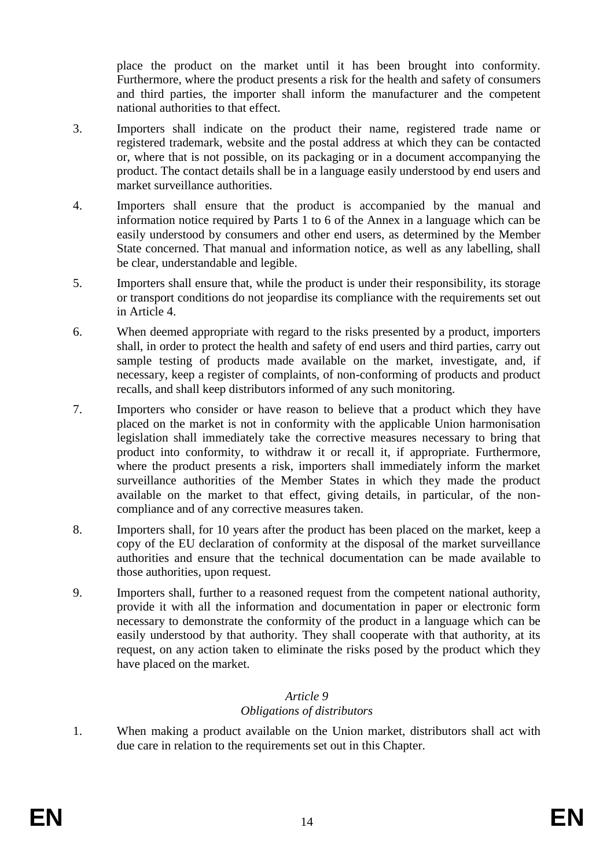place the product on the market until it has been brought into conformity. Furthermore, where the product presents a risk for the health and safety of consumers and third parties, the importer shall inform the manufacturer and the competent national authorities to that effect.

- 3. Importers shall indicate on the product their name, registered trade name or registered trademark, website and the postal address at which they can be contacted or, where that is not possible, on its packaging or in a document accompanying the product. The contact details shall be in a language easily understood by end users and market surveillance authorities.
- 4. Importers shall ensure that the product is accompanied by the manual and information notice required by Parts 1 to 6 of the Annex in a language which can be easily understood by consumers and other end users, as determined by the Member State concerned. That manual and information notice, as well as any labelling, shall be clear, understandable and legible.
- 5. Importers shall ensure that, while the product is under their responsibility, its storage or transport conditions do not jeopardise its compliance with the requirements set out in Article 4.
- 6. When deemed appropriate with regard to the risks presented by a product, importers shall, in order to protect the health and safety of end users and third parties, carry out sample testing of products made available on the market, investigate, and, if necessary, keep a register of complaints, of non-conforming of products and product recalls, and shall keep distributors informed of any such monitoring.
- 7. Importers who consider or have reason to believe that a product which they have placed on the market is not in conformity with the applicable Union harmonisation legislation shall immediately take the corrective measures necessary to bring that product into conformity, to withdraw it or recall it, if appropriate. Furthermore, where the product presents a risk, importers shall immediately inform the market surveillance authorities of the Member States in which they made the product available on the market to that effect, giving details, in particular, of the noncompliance and of any corrective measures taken.
- 8. Importers shall, for 10 years after the product has been placed on the market, keep a copy of the EU declaration of conformity at the disposal of the market surveillance authorities and ensure that the technical documentation can be made available to those authorities, upon request.
- 9. Importers shall, further to a reasoned request from the competent national authority, provide it with all the information and documentation in paper or electronic form necessary to demonstrate the conformity of the product in a language which can be easily understood by that authority. They shall cooperate with that authority, at its request, on any action taken to eliminate the risks posed by the product which they have placed on the market.

# *Article 9*

## *Obligations of distributors*

1. When making a product available on the Union market, distributors shall act with due care in relation to the requirements set out in this Chapter.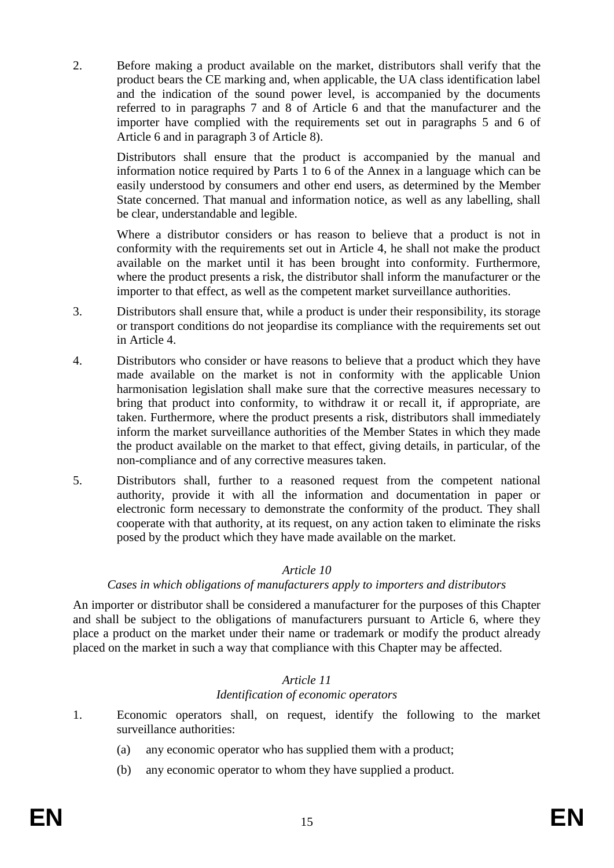2. Before making a product available on the market, distributors shall verify that the product bears the CE marking and, when applicable, the UA class identification label and the indication of the sound power level, is accompanied by the documents referred to in paragraphs 7 and 8 of Article 6 and that the manufacturer and the importer have complied with the requirements set out in paragraphs 5 and 6 of Article 6 and in paragraph 3 of Article 8).

Distributors shall ensure that the product is accompanied by the manual and information notice required by Parts 1 to 6 of the Annex in a language which can be easily understood by consumers and other end users, as determined by the Member State concerned. That manual and information notice, as well as any labelling, shall be clear, understandable and legible.

Where a distributor considers or has reason to believe that a product is not in conformity with the requirements set out in Article 4, he shall not make the product available on the market until it has been brought into conformity. Furthermore, where the product presents a risk, the distributor shall inform the manufacturer or the importer to that effect, as well as the competent market surveillance authorities.

- 3. Distributors shall ensure that, while a product is under their responsibility, its storage or transport conditions do not jeopardise its compliance with the requirements set out in Article 4.
- 4. Distributors who consider or have reasons to believe that a product which they have made available on the market is not in conformity with the applicable Union harmonisation legislation shall make sure that the corrective measures necessary to bring that product into conformity, to withdraw it or recall it, if appropriate, are taken. Furthermore, where the product presents a risk, distributors shall immediately inform the market surveillance authorities of the Member States in which they made the product available on the market to that effect, giving details, in particular, of the non-compliance and of any corrective measures taken.
- 5. Distributors shall, further to a reasoned request from the competent national authority, provide it with all the information and documentation in paper or electronic form necessary to demonstrate the conformity of the product. They shall cooperate with that authority, at its request, on any action taken to eliminate the risks posed by the product which they have made available on the market.

#### *Article 10*

#### *Cases in which obligations of manufacturers apply to importers and distributors*

An importer or distributor shall be considered a manufacturer for the purposes of this Chapter and shall be subject to the obligations of manufacturers pursuant to Article 6, where they place a product on the market under their name or trademark or modify the product already placed on the market in such a way that compliance with this Chapter may be affected.

#### *Article 11*

#### *Identification of economic operators*

- 1. Economic operators shall, on request, identify the following to the market surveillance authorities:
	- (a) any economic operator who has supplied them with a product;
	- (b) any economic operator to whom they have supplied a product.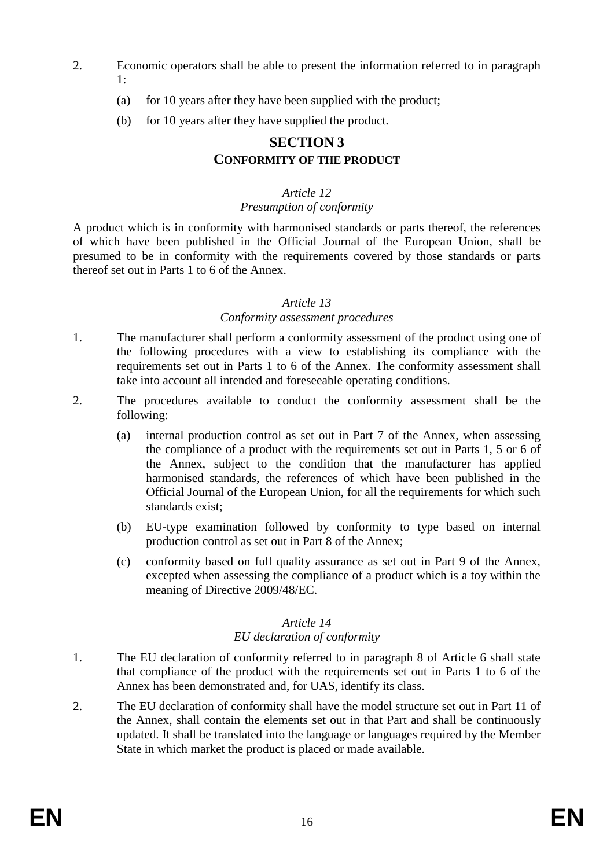- 2. Economic operators shall be able to present the information referred to in paragraph 1:
	- (a) for 10 years after they have been supplied with the product;
	- (b) for 10 years after they have supplied the product.

## **SECTION 3 CONFORMITY OF THE PRODUCT**

#### *Article 12 Presumption of conformity*

A product which is in conformity with harmonised standards or parts thereof, the references of which have been published in the Official Journal of the European Union, shall be presumed to be in conformity with the requirements covered by those standards or parts thereof set out in Parts 1 to 6 of the Annex.

#### *Article 13*

#### *Conformity assessment procedures*

- 1. The manufacturer shall perform a conformity assessment of the product using one of the following procedures with a view to establishing its compliance with the requirements set out in Parts 1 to 6 of the Annex. The conformity assessment shall take into account all intended and foreseeable operating conditions.
- 2. The procedures available to conduct the conformity assessment shall be the following:
	- (a) internal production control as set out in Part 7 of the Annex, when assessing the compliance of a product with the requirements set out in Parts 1, 5 or 6 of the Annex, subject to the condition that the manufacturer has applied harmonised standards, the references of which have been published in the Official Journal of the European Union, for all the requirements for which such standards exist;
	- (b) EU-type examination followed by conformity to type based on internal production control as set out in Part 8 of the Annex;
	- (c) conformity based on full quality assurance as set out in Part 9 of the Annex, excepted when assessing the compliance of a product which is a toy within the meaning of Directive 2009/48/EC.

#### *Article 14 EU declaration of conformity*

- 1. The EU declaration of conformity referred to in paragraph 8 of Article 6 shall state that compliance of the product with the requirements set out in Parts 1 to 6 of the Annex has been demonstrated and, for UAS, identify its class.
- 2. The EU declaration of conformity shall have the model structure set out in Part 11 of the Annex, shall contain the elements set out in that Part and shall be continuously updated. It shall be translated into the language or languages required by the Member State in which market the product is placed or made available.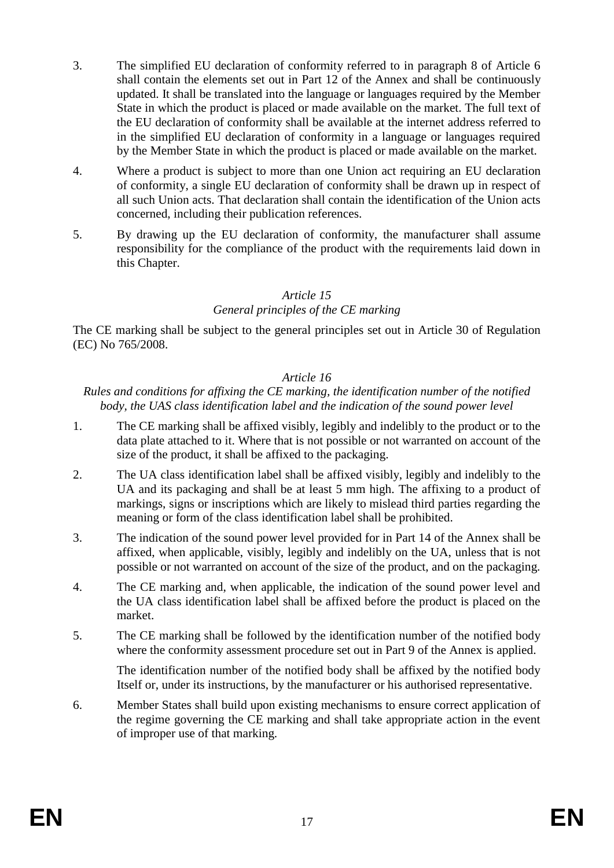- 3. The simplified EU declaration of conformity referred to in paragraph 8 of Article 6 shall contain the elements set out in Part 12 of the Annex and shall be continuously updated. It shall be translated into the language or languages required by the Member State in which the product is placed or made available on the market. The full text of the EU declaration of conformity shall be available at the internet address referred to in the simplified EU declaration of conformity in a language or languages required by the Member State in which the product is placed or made available on the market.
- 4. Where a product is subject to more than one Union act requiring an EU declaration of conformity, a single EU declaration of conformity shall be drawn up in respect of all such Union acts. That declaration shall contain the identification of the Union acts concerned, including their publication references.
- 5. By drawing up the EU declaration of conformity, the manufacturer shall assume responsibility for the compliance of the product with the requirements laid down in this Chapter.

#### *Article 15*

## *General principles of the CE marking*

The CE marking shall be subject to the general principles set out in Article 30 of Regulation (EC) No 765/2008.

#### *Article 16*

#### *Rules and conditions for affixing the CE marking, the identification number of the notified body, the UAS class identification label and the indication of the sound power level*

- 1. The CE marking shall be affixed visibly, legibly and indelibly to the product or to the data plate attached to it. Where that is not possible or not warranted on account of the size of the product, it shall be affixed to the packaging.
- 2. The UA class identification label shall be affixed visibly, legibly and indelibly to the UA and its packaging and shall be at least 5 mm high. The affixing to a product of markings, signs or inscriptions which are likely to mislead third parties regarding the meaning or form of the class identification label shall be prohibited.
- 3. The indication of the sound power level provided for in Part 14 of the Annex shall be affixed, when applicable, visibly, legibly and indelibly on the UA, unless that is not possible or not warranted on account of the size of the product, and on the packaging.
- 4. The CE marking and, when applicable, the indication of the sound power level and the UA class identification label shall be affixed before the product is placed on the market.
- 5. The CE marking shall be followed by the identification number of the notified body where the conformity assessment procedure set out in Part 9 of the Annex is applied.

The identification number of the notified body shall be affixed by the notified body Itself or, under its instructions, by the manufacturer or his authorised representative.

6. Member States shall build upon existing mechanisms to ensure correct application of the regime governing the CE marking and shall take appropriate action in the event of improper use of that marking.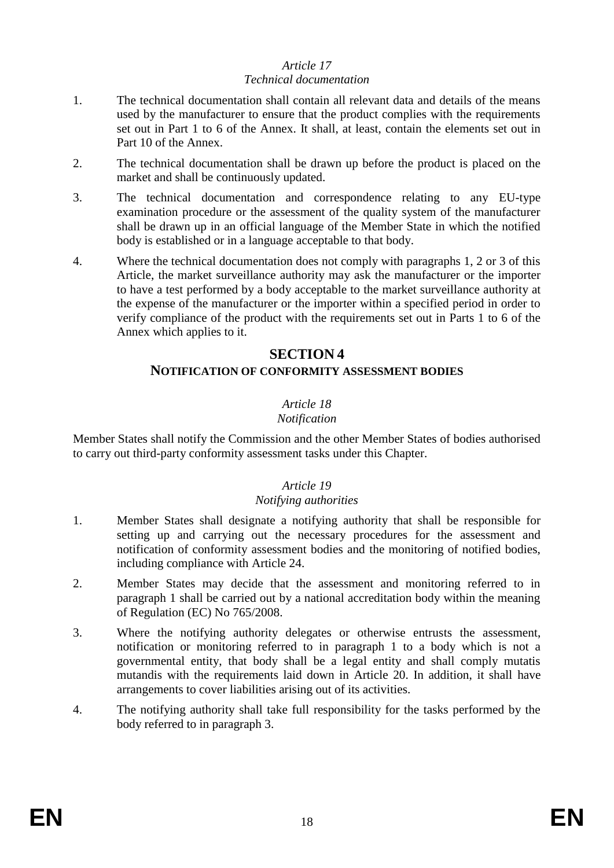#### *Article 17 Technical documentation*

- 1. The technical documentation shall contain all relevant data and details of the means used by the manufacturer to ensure that the product complies with the requirements set out in Part 1 to 6 of the Annex. It shall, at least, contain the elements set out in Part 10 of the Annex.
- 2. The technical documentation shall be drawn up before the product is placed on the market and shall be continuously updated.
- 3. The technical documentation and correspondence relating to any EU-type examination procedure or the assessment of the quality system of the manufacturer shall be drawn up in an official language of the Member State in which the notified body is established or in a language acceptable to that body.
- 4. Where the technical documentation does not comply with paragraphs 1, 2 or 3 of this Article, the market surveillance authority may ask the manufacturer or the importer to have a test performed by a body acceptable to the market surveillance authority at the expense of the manufacturer or the importer within a specified period in order to verify compliance of the product with the requirements set out in Parts 1 to 6 of the Annex which applies to it.

## **SECTION 4**

#### **NOTIFICATION OF CONFORMITY ASSESSMENT BODIES**

## *Article 18*

#### *Notification*

Member States shall notify the Commission and the other Member States of bodies authorised to carry out third-party conformity assessment tasks under this Chapter.

#### *Article 19 Notifying authorities*

- 1. Member States shall designate a notifying authority that shall be responsible for setting up and carrying out the necessary procedures for the assessment and notification of conformity assessment bodies and the monitoring of notified bodies, including compliance with Article 24.
- 2. Member States may decide that the assessment and monitoring referred to in paragraph 1 shall be carried out by a national accreditation body within the meaning of Regulation (EC) No 765/2008.
- 3. Where the notifying authority delegates or otherwise entrusts the assessment, notification or monitoring referred to in paragraph 1 to a body which is not a governmental entity, that body shall be a legal entity and shall comply mutatis mutandis with the requirements laid down in Article 20. In addition, it shall have arrangements to cover liabilities arising out of its activities.
- 4. The notifying authority shall take full responsibility for the tasks performed by the body referred to in paragraph 3.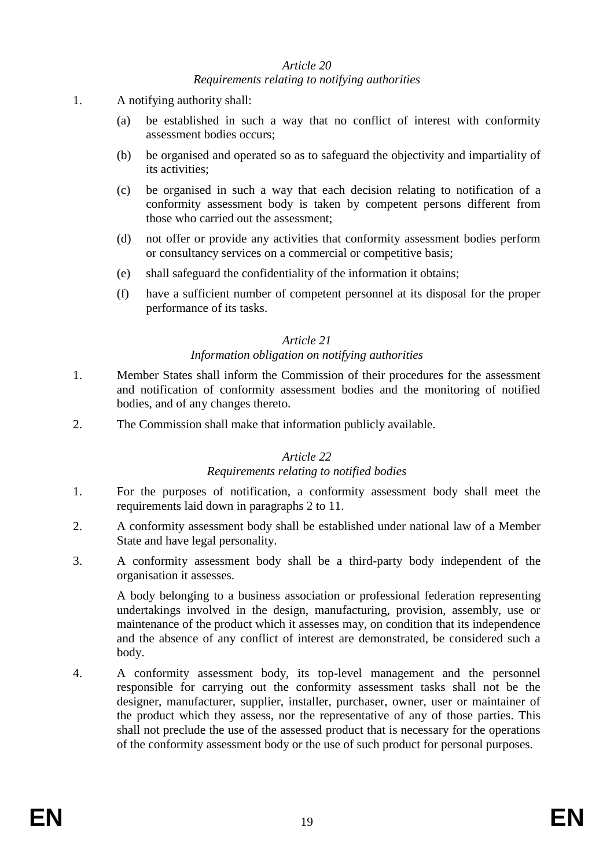#### *Article 20 Requirements relating to notifying authorities*

- 1. A notifying authority shall:
	- (a) be established in such a way that no conflict of interest with conformity assessment bodies occurs;
	- (b) be organised and operated so as to safeguard the objectivity and impartiality of its activities;
	- (c) be organised in such a way that each decision relating to notification of a conformity assessment body is taken by competent persons different from those who carried out the assessment;
	- (d) not offer or provide any activities that conformity assessment bodies perform or consultancy services on a commercial or competitive basis;
	- (e) shall safeguard the confidentiality of the information it obtains;
	- (f) have a sufficient number of competent personnel at its disposal for the proper performance of its tasks.

#### *Article 21*

#### *Information obligation on notifying authorities*

- 1. Member States shall inform the Commission of their procedures for the assessment and notification of conformity assessment bodies and the monitoring of notified bodies, and of any changes thereto.
- 2. The Commission shall make that information publicly available.

#### *Article 22*

#### *Requirements relating to notified bodies*

- 1. For the purposes of notification, a conformity assessment body shall meet the requirements laid down in paragraphs 2 to 11.
- 2. A conformity assessment body shall be established under national law of a Member State and have legal personality.
- 3. A conformity assessment body shall be a third-party body independent of the organisation it assesses.

A body belonging to a business association or professional federation representing undertakings involved in the design, manufacturing, provision, assembly, use or maintenance of the product which it assesses may, on condition that its independence and the absence of any conflict of interest are demonstrated, be considered such a body.

4. A conformity assessment body, its top-level management and the personnel responsible for carrying out the conformity assessment tasks shall not be the designer, manufacturer, supplier, installer, purchaser, owner, user or maintainer of the product which they assess, nor the representative of any of those parties. This shall not preclude the use of the assessed product that is necessary for the operations of the conformity assessment body or the use of such product for personal purposes.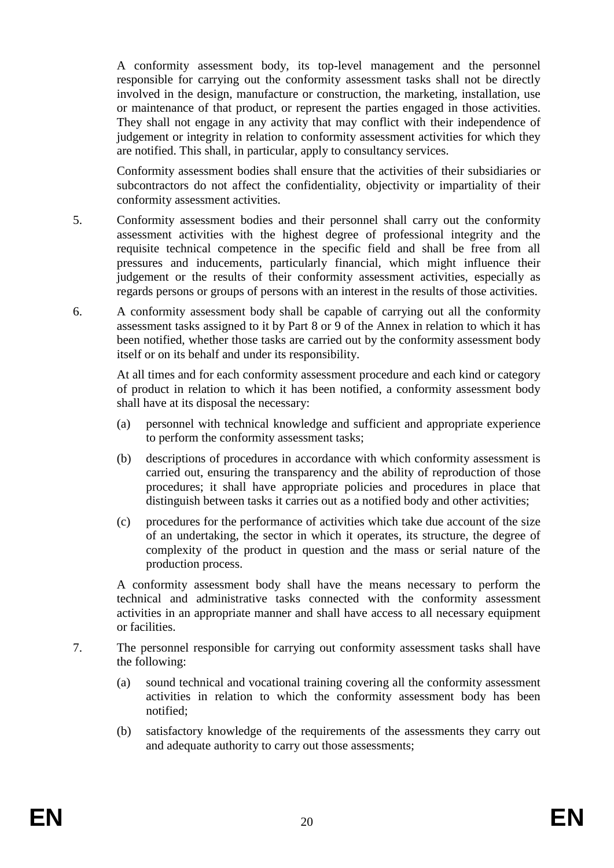A conformity assessment body, its top-level management and the personnel responsible for carrying out the conformity assessment tasks shall not be directly involved in the design, manufacture or construction, the marketing, installation, use or maintenance of that product, or represent the parties engaged in those activities. They shall not engage in any activity that may conflict with their independence of judgement or integrity in relation to conformity assessment activities for which they are notified. This shall, in particular, apply to consultancy services.

Conformity assessment bodies shall ensure that the activities of their subsidiaries or subcontractors do not affect the confidentiality, objectivity or impartiality of their conformity assessment activities.

- 5. Conformity assessment bodies and their personnel shall carry out the conformity assessment activities with the highest degree of professional integrity and the requisite technical competence in the specific field and shall be free from all pressures and inducements, particularly financial, which might influence their judgement or the results of their conformity assessment activities, especially as regards persons or groups of persons with an interest in the results of those activities.
- 6. A conformity assessment body shall be capable of carrying out all the conformity assessment tasks assigned to it by Part 8 or 9 of the Annex in relation to which it has been notified, whether those tasks are carried out by the conformity assessment body itself or on its behalf and under its responsibility.

At all times and for each conformity assessment procedure and each kind or category of product in relation to which it has been notified, a conformity assessment body shall have at its disposal the necessary:

- (a) personnel with technical knowledge and sufficient and appropriate experience to perform the conformity assessment tasks;
- (b) descriptions of procedures in accordance with which conformity assessment is carried out, ensuring the transparency and the ability of reproduction of those procedures; it shall have appropriate policies and procedures in place that distinguish between tasks it carries out as a notified body and other activities;
- (c) procedures for the performance of activities which take due account of the size of an undertaking, the sector in which it operates, its structure, the degree of complexity of the product in question and the mass or serial nature of the production process.

A conformity assessment body shall have the means necessary to perform the technical and administrative tasks connected with the conformity assessment activities in an appropriate manner and shall have access to all necessary equipment or facilities.

- 7. The personnel responsible for carrying out conformity assessment tasks shall have the following:
	- (a) sound technical and vocational training covering all the conformity assessment activities in relation to which the conformity assessment body has been notified;
	- (b) satisfactory knowledge of the requirements of the assessments they carry out and adequate authority to carry out those assessments;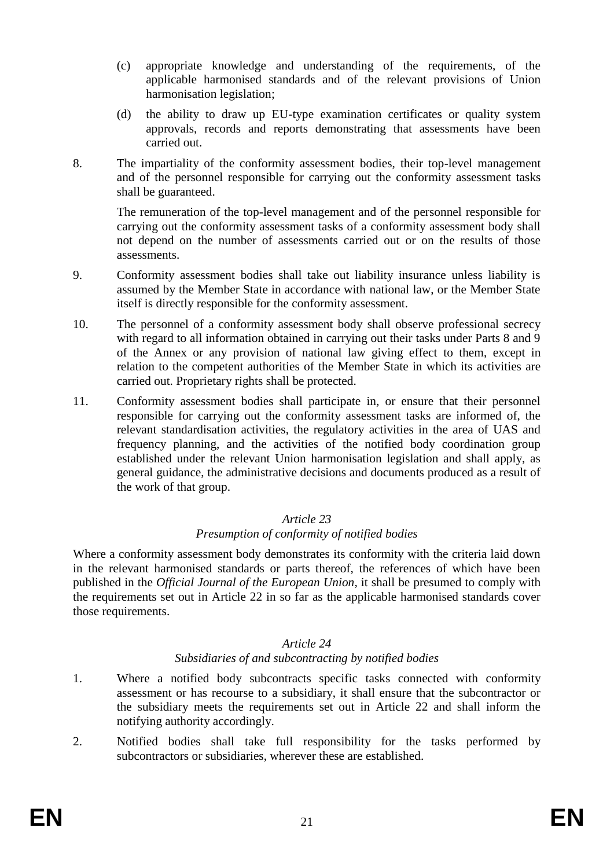- (c) appropriate knowledge and understanding of the requirements, of the applicable harmonised standards and of the relevant provisions of Union harmonisation legislation;
- (d) the ability to draw up EU-type examination certificates or quality system approvals, records and reports demonstrating that assessments have been carried out.
- 8. The impartiality of the conformity assessment bodies, their top-level management and of the personnel responsible for carrying out the conformity assessment tasks shall be guaranteed.

The remuneration of the top-level management and of the personnel responsible for carrying out the conformity assessment tasks of a conformity assessment body shall not depend on the number of assessments carried out or on the results of those assessments.

- 9. Conformity assessment bodies shall take out liability insurance unless liability is assumed by the Member State in accordance with national law, or the Member State itself is directly responsible for the conformity assessment.
- 10. The personnel of a conformity assessment body shall observe professional secrecy with regard to all information obtained in carrying out their tasks under Parts 8 and 9 of the Annex or any provision of national law giving effect to them, except in relation to the competent authorities of the Member State in which its activities are carried out. Proprietary rights shall be protected.
- 11. Conformity assessment bodies shall participate in, or ensure that their personnel responsible for carrying out the conformity assessment tasks are informed of, the relevant standardisation activities, the regulatory activities in the area of UAS and frequency planning, and the activities of the notified body coordination group established under the relevant Union harmonisation legislation and shall apply, as general guidance, the administrative decisions and documents produced as a result of the work of that group.

#### *Article 23*

#### *Presumption of conformity of notified bodies*

Where a conformity assessment body demonstrates its conformity with the criteria laid down in the relevant harmonised standards or parts thereof, the references of which have been published in the *Official Journal of the European Union*, it shall be presumed to comply with the requirements set out in Article 22 in so far as the applicable harmonised standards cover those requirements.

#### *Article 24*

#### *Subsidiaries of and subcontracting by notified bodies*

- 1. Where a notified body subcontracts specific tasks connected with conformity assessment or has recourse to a subsidiary, it shall ensure that the subcontractor or the subsidiary meets the requirements set out in Article 22 and shall inform the notifying authority accordingly.
- 2. Notified bodies shall take full responsibility for the tasks performed by subcontractors or subsidiaries, wherever these are established.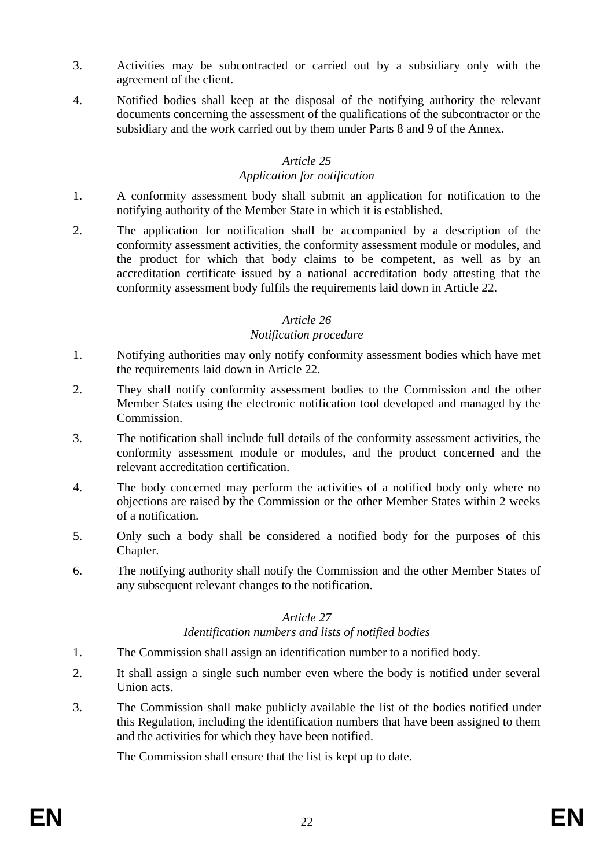- 3. Activities may be subcontracted or carried out by a subsidiary only with the agreement of the client.
- 4. Notified bodies shall keep at the disposal of the notifying authority the relevant documents concerning the assessment of the qualifications of the subcontractor or the subsidiary and the work carried out by them under Parts 8 and 9 of the Annex.

### *Article 25*

#### *Application for notification*

- 1. A conformity assessment body shall submit an application for notification to the notifying authority of the Member State in which it is established.
- 2. The application for notification shall be accompanied by a description of the conformity assessment activities, the conformity assessment module or modules, and the product for which that body claims to be competent, as well as by an accreditation certificate issued by a national accreditation body attesting that the conformity assessment body fulfils the requirements laid down in Article 22.

#### *Article 26*

#### *Notification procedure*

- 1. Notifying authorities may only notify conformity assessment bodies which have met the requirements laid down in Article 22.
- 2. They shall notify conformity assessment bodies to the Commission and the other Member States using the electronic notification tool developed and managed by the Commission.
- 3. The notification shall include full details of the conformity assessment activities, the conformity assessment module or modules, and the product concerned and the relevant accreditation certification.
- 4. The body concerned may perform the activities of a notified body only where no objections are raised by the Commission or the other Member States within 2 weeks of a notification.
- 5. Only such a body shall be considered a notified body for the purposes of this Chapter.
- 6. The notifying authority shall notify the Commission and the other Member States of any subsequent relevant changes to the notification.

## *Article 27*

#### *Identification numbers and lists of notified bodies*

- 1. The Commission shall assign an identification number to a notified body.
- 2. It shall assign a single such number even where the body is notified under several Union acts.
- 3. The Commission shall make publicly available the list of the bodies notified under this Regulation, including the identification numbers that have been assigned to them and the activities for which they have been notified.

The Commission shall ensure that the list is kept up to date.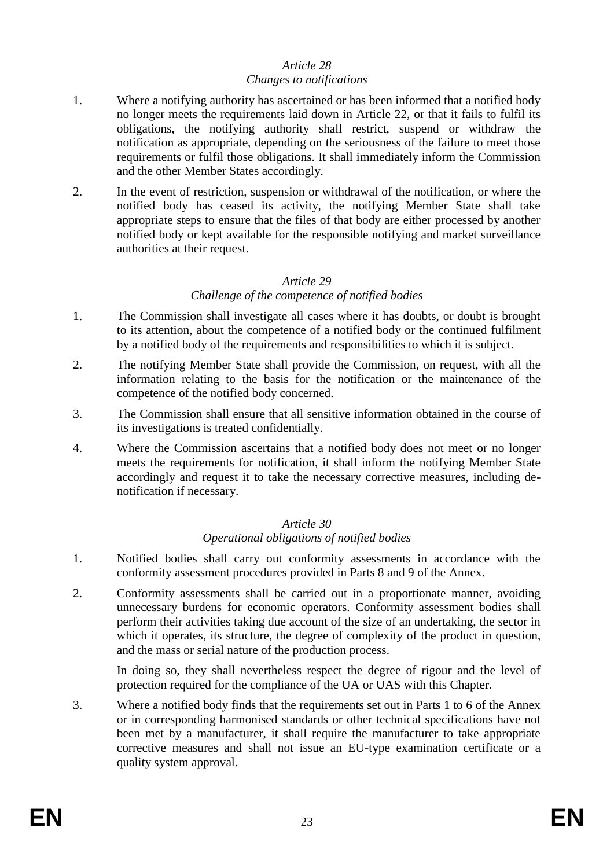#### *Article 28 Changes to notifications*

- 1. Where a notifying authority has ascertained or has been informed that a notified body no longer meets the requirements laid down in Article 22, or that it fails to fulfil its obligations, the notifying authority shall restrict, suspend or withdraw the notification as appropriate, depending on the seriousness of the failure to meet those requirements or fulfil those obligations. It shall immediately inform the Commission and the other Member States accordingly.
- 2. In the event of restriction, suspension or withdrawal of the notification, or where the notified body has ceased its activity, the notifying Member State shall take appropriate steps to ensure that the files of that body are either processed by another notified body or kept available for the responsible notifying and market surveillance authorities at their request.

#### *Article 29*

#### *Challenge of the competence of notified bodies*

- 1. The Commission shall investigate all cases where it has doubts, or doubt is brought to its attention, about the competence of a notified body or the continued fulfilment by a notified body of the requirements and responsibilities to which it is subject.
- 2. The notifying Member State shall provide the Commission, on request, with all the information relating to the basis for the notification or the maintenance of the competence of the notified body concerned.
- 3. The Commission shall ensure that all sensitive information obtained in the course of its investigations is treated confidentially.
- 4. Where the Commission ascertains that a notified body does not meet or no longer meets the requirements for notification, it shall inform the notifying Member State accordingly and request it to take the necessary corrective measures, including denotification if necessary.

# *Article 30*

#### *Operational obligations of notified bodies*

- 1. Notified bodies shall carry out conformity assessments in accordance with the conformity assessment procedures provided in Parts 8 and 9 of the Annex.
- 2. Conformity assessments shall be carried out in a proportionate manner, avoiding unnecessary burdens for economic operators. Conformity assessment bodies shall perform their activities taking due account of the size of an undertaking, the sector in which it operates, its structure, the degree of complexity of the product in question, and the mass or serial nature of the production process.

In doing so, they shall nevertheless respect the degree of rigour and the level of protection required for the compliance of the UA or UAS with this Chapter.

3. Where a notified body finds that the requirements set out in Parts 1 to 6 of the Annex or in corresponding harmonised standards or other technical specifications have not been met by a manufacturer, it shall require the manufacturer to take appropriate corrective measures and shall not issue an EU-type examination certificate or a quality system approval.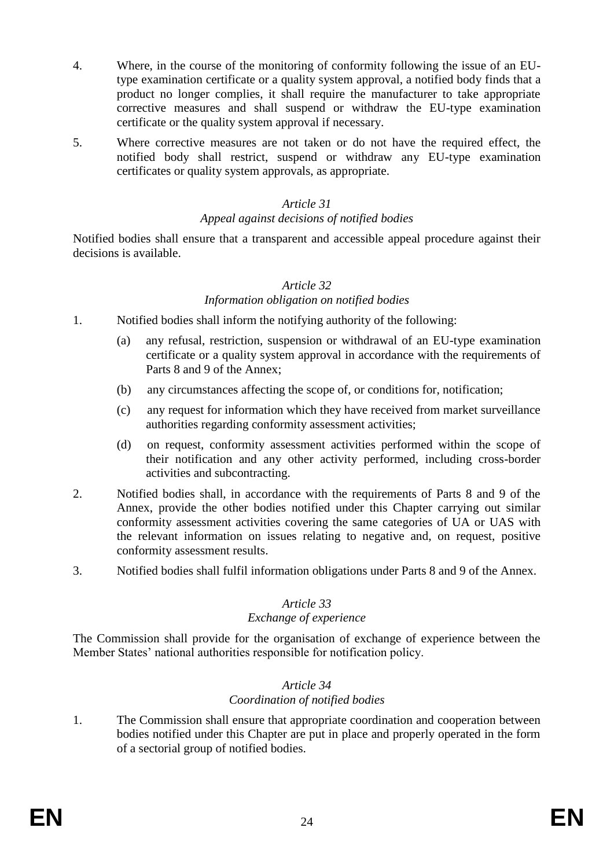- 4. Where, in the course of the monitoring of conformity following the issue of an EUtype examination certificate or a quality system approval, a notified body finds that a product no longer complies, it shall require the manufacturer to take appropriate corrective measures and shall suspend or withdraw the EU-type examination certificate or the quality system approval if necessary.
- 5. Where corrective measures are not taken or do not have the required effect, the notified body shall restrict, suspend or withdraw any EU-type examination certificates or quality system approvals, as appropriate.

#### *Article 31*

#### *Appeal against decisions of notified bodies*

Notified bodies shall ensure that a transparent and accessible appeal procedure against their decisions is available.

#### *Article 32*

#### *Information obligation on notified bodies*

- 1. Notified bodies shall inform the notifying authority of the following:
	- (a) any refusal, restriction, suspension or withdrawal of an EU-type examination certificate or a quality system approval in accordance with the requirements of Parts 8 and 9 of the Annex;
	- (b) any circumstances affecting the scope of, or conditions for, notification;
	- (c) any request for information which they have received from market surveillance authorities regarding conformity assessment activities;
	- (d) on request, conformity assessment activities performed within the scope of their notification and any other activity performed, including cross-border activities and subcontracting.
- 2. Notified bodies shall, in accordance with the requirements of Parts 8 and 9 of the Annex, provide the other bodies notified under this Chapter carrying out similar conformity assessment activities covering the same categories of UA or UAS with the relevant information on issues relating to negative and, on request, positive conformity assessment results.
- 3. Notified bodies shall fulfil information obligations under Parts 8 and 9 of the Annex.

#### *Article 33*

#### *Exchange of experience*

The Commission shall provide for the organisation of exchange of experience between the Member States' national authorities responsible for notification policy.

#### *Article 34*

#### *Coordination of notified bodies*

1. The Commission shall ensure that appropriate coordination and cooperation between bodies notified under this Chapter are put in place and properly operated in the form of a sectorial group of notified bodies.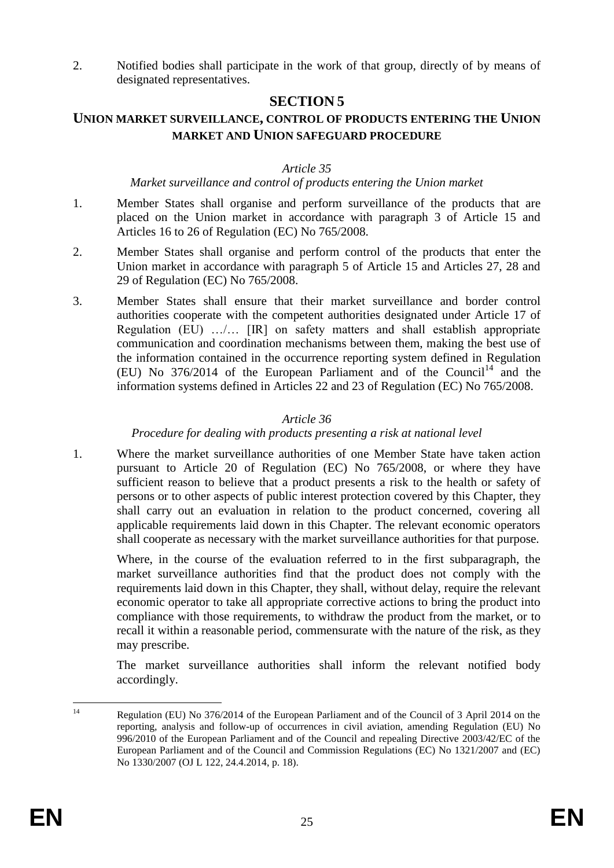2. Notified bodies shall participate in the work of that group, directly of by means of designated representatives.

## **SECTION 5**

## **UNION MARKET SURVEILLANCE, CONTROL OF PRODUCTS ENTERING THE UNION MARKET AND UNION SAFEGUARD PROCEDURE**

#### *Article 35*

#### *Market surveillance and control of products entering the Union market*

- 1. Member States shall organise and perform surveillance of the products that are placed on the Union market in accordance with paragraph 3 of Article 15 and Articles 16 to 26 of Regulation (EC) No 765/2008.
- 2. Member States shall organise and perform control of the products that enter the Union market in accordance with paragraph 5 of Article 15 and Articles 27, 28 and 29 of Regulation (EC) No 765/2008.
- 3. Member States shall ensure that their market surveillance and border control authorities cooperate with the competent authorities designated under Article 17 of Regulation (EU) …/… [IR] on safety matters and shall establish appropriate communication and coordination mechanisms between them, making the best use of the information contained in the occurrence reporting system defined in Regulation (EU) No  $376/2014$  of the European Parliament and of the Council<sup>14</sup> and the information systems defined in Articles 22 and 23 of Regulation (EC) No 765/2008.

#### *Article 36*

### *Procedure for dealing with products presenting a risk at national level*

1. Where the market surveillance authorities of one Member State have taken action pursuant to Article 20 of Regulation (EC) No 765/2008, or where they have sufficient reason to believe that a product presents a risk to the health or safety of persons or to other aspects of public interest protection covered by this Chapter, they shall carry out an evaluation in relation to the product concerned, covering all applicable requirements laid down in this Chapter. The relevant economic operators shall cooperate as necessary with the market surveillance authorities for that purpose.

Where, in the course of the evaluation referred to in the first subparagraph, the market surveillance authorities find that the product does not comply with the requirements laid down in this Chapter, they shall, without delay, require the relevant economic operator to take all appropriate corrective actions to bring the product into compliance with those requirements, to withdraw the product from the market, or to recall it within a reasonable period, commensurate with the nature of the risk, as they may prescribe.

The market surveillance authorities shall inform the relevant notified body accordingly.

 $14$ Regulation (EU) No 376/2014 of the European Parliament and of the Council of 3 April 2014 on the reporting, analysis and follow-up of occurrences in civil aviation, amending Regulation (EU) No 996/2010 of the European Parliament and of the Council and repealing Directive 2003/42/EC of the European Parliament and of the Council and Commission Regulations (EC) No 1321/2007 and (EC) No 1330/2007 (OJ L 122, 24.4.2014, p. 18).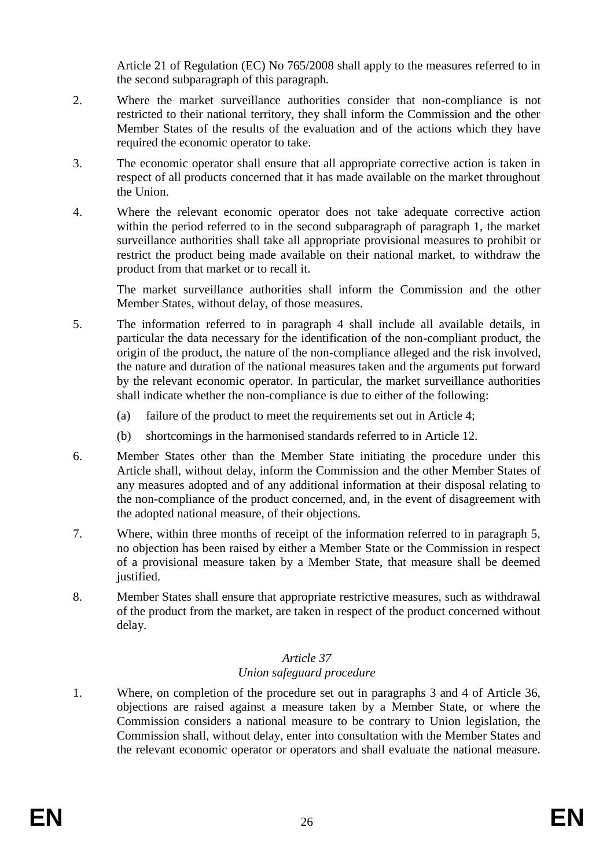Article 21 of Regulation (EC) No 765/2008 shall apply to the measures referred to in the second subparagraph of this paragraph*.*

- 2. Where the market surveillance authorities consider that non-compliance is not restricted to their national territory, they shall inform the Commission and the other Member States of the results of the evaluation and of the actions which they have required the economic operator to take.
- 3. The economic operator shall ensure that all appropriate corrective action is taken in respect of all products concerned that it has made available on the market throughout the Union.
- 4. Where the relevant economic operator does not take adequate corrective action within the period referred to in the second subparagraph of paragraph 1, the market surveillance authorities shall take all appropriate provisional measures to prohibit or restrict the product being made available on their national market, to withdraw the product from that market or to recall it.

The market surveillance authorities shall inform the Commission and the other Member States, without delay, of those measures.

- 5. The information referred to in paragraph 4 shall include all available details, in particular the data necessary for the identification of the non-compliant product, the origin of the product, the nature of the non-compliance alleged and the risk involved, the nature and duration of the national measures taken and the arguments put forward by the relevant economic operator. In particular, the market surveillance authorities shall indicate whether the non-compliance is due to either of the following:
	- (a) failure of the product to meet the requirements set out in Article 4;
	- (b) shortcomings in the harmonised standards referred to in Article 12.
- 6. Member States other than the Member State initiating the procedure under this Article shall, without delay, inform the Commission and the other Member States of any measures adopted and of any additional information at their disposal relating to the non-compliance of the product concerned, and, in the event of disagreement with the adopted national measure, of their objections.
- 7. Where, within three months of receipt of the information referred to in paragraph 5, no objection has been raised by either a Member State or the Commission in respect of a provisional measure taken by a Member State, that measure shall be deemed justified.
- 8. Member States shall ensure that appropriate restrictive measures, such as withdrawal of the product from the market, are taken in respect of the product concerned without delay.

#### *Article 37 Union safeguard procedure*

1. Where, on completion of the procedure set out in paragraphs 3 and 4 of Article 36, objections are raised against a measure taken by a Member State, or where the Commission considers a national measure to be contrary to Union legislation, the Commission shall, without delay, enter into consultation with the Member States and the relevant economic operator or operators and shall evaluate the national measure.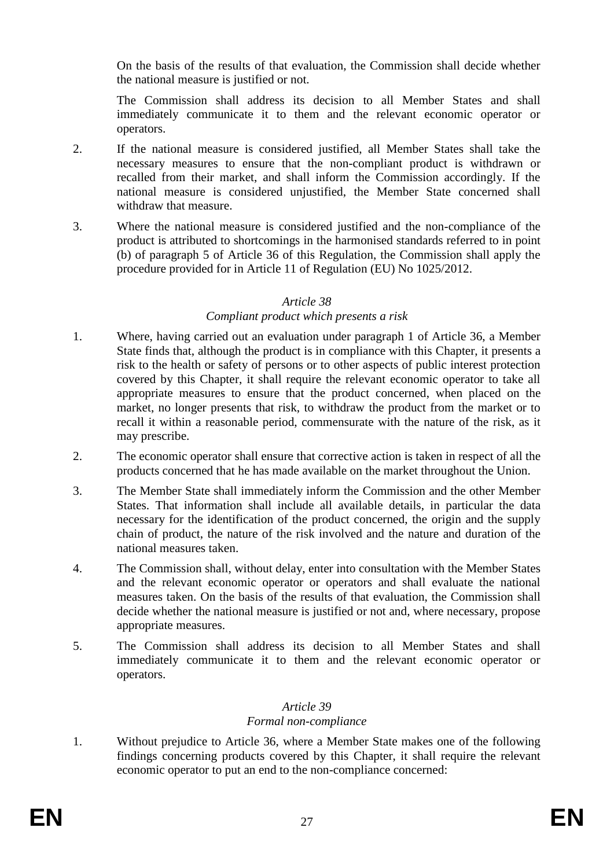On the basis of the results of that evaluation, the Commission shall decide whether the national measure is justified or not.

The Commission shall address its decision to all Member States and shall immediately communicate it to them and the relevant economic operator or operators.

- 2. If the national measure is considered justified, all Member States shall take the necessary measures to ensure that the non-compliant product is withdrawn or recalled from their market, and shall inform the Commission accordingly. If the national measure is considered unjustified, the Member State concerned shall withdraw that measure.
- 3. Where the national measure is considered justified and the non-compliance of the product is attributed to shortcomings in the harmonised standards referred to in point (b) of paragraph 5 of Article 36 of this Regulation, the Commission shall apply the procedure provided for in Article 11 of Regulation (EU) No 1025/2012.

#### *Article 38*

#### *Compliant product which presents a risk*

- 1. Where, having carried out an evaluation under paragraph 1 of Article 36, a Member State finds that, although the product is in compliance with this Chapter, it presents a risk to the health or safety of persons or to other aspects of public interest protection covered by this Chapter, it shall require the relevant economic operator to take all appropriate measures to ensure that the product concerned, when placed on the market, no longer presents that risk, to withdraw the product from the market or to recall it within a reasonable period, commensurate with the nature of the risk, as it may prescribe.
- 2. The economic operator shall ensure that corrective action is taken in respect of all the products concerned that he has made available on the market throughout the Union.
- 3. The Member State shall immediately inform the Commission and the other Member States. That information shall include all available details, in particular the data necessary for the identification of the product concerned, the origin and the supply chain of product, the nature of the risk involved and the nature and duration of the national measures taken.
- 4. The Commission shall, without delay, enter into consultation with the Member States and the relevant economic operator or operators and shall evaluate the national measures taken. On the basis of the results of that evaluation, the Commission shall decide whether the national measure is justified or not and, where necessary, propose appropriate measures.
- 5. The Commission shall address its decision to all Member States and shall immediately communicate it to them and the relevant economic operator or operators.

## *Article 39 Formal non-compliance*

1. Without prejudice to Article 36, where a Member State makes one of the following findings concerning products covered by this Chapter, it shall require the relevant economic operator to put an end to the non-compliance concerned: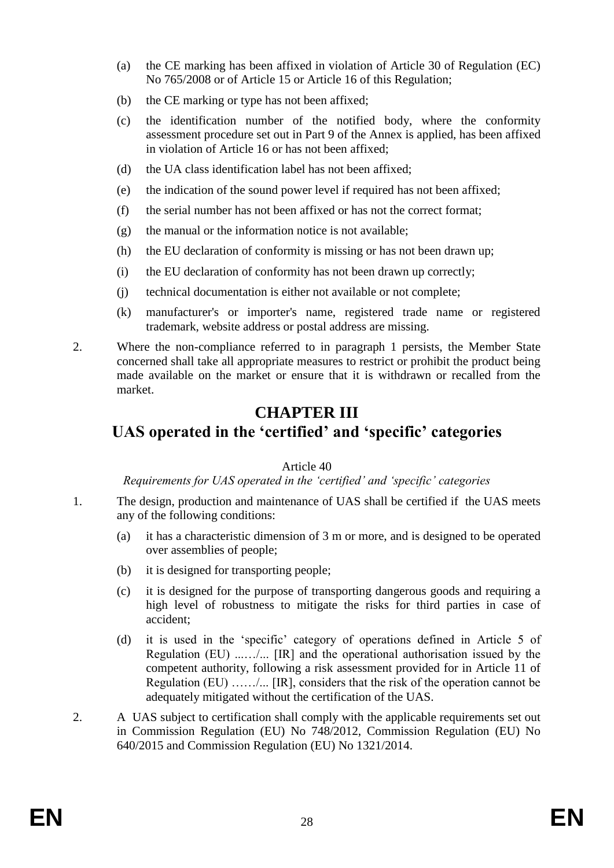- (a) the CE marking has been affixed in violation of Article 30 of Regulation (EC) No 765/2008 or of Article 15 or Article 16 of this Regulation;
- (b) the CE marking or type has not been affixed;
- (c) the identification number of the notified body, where the conformity assessment procedure set out in Part 9 of the Annex is applied, has been affixed in violation of Article 16 or has not been affixed;
- (d) the UA class identification label has not been affixed;
- (e) the indication of the sound power level if required has not been affixed;
- (f) the serial number has not been affixed or has not the correct format;
- (g) the manual or the information notice is not available;
- (h) the EU declaration of conformity is missing or has not been drawn up;
- (i) the EU declaration of conformity has not been drawn up correctly;
- (j) technical documentation is either not available or not complete;
- (k) manufacturer's or importer's name, registered trade name or registered trademark, website address or postal address are missing.
- 2. Where the non-compliance referred to in paragraph 1 persists, the Member State concerned shall take all appropriate measures to restrict or prohibit the product being made available on the market or ensure that it is withdrawn or recalled from the market.

# **CHAPTER III**

# **UAS operated in the 'certified' and 'specific' categories**

#### Article 40

*Requirements for UAS operated in the 'certified' and 'specific' categories*

- 1. The design, production and maintenance of UAS shall be certified if the UAS meets any of the following conditions:
	- (a) it has a characteristic dimension of 3 m or more, and is designed to be operated over assemblies of people;
	- (b) it is designed for transporting people;
	- (c) it is designed for the purpose of transporting dangerous goods and requiring a high level of robustness to mitigate the risks for third parties in case of accident;
	- (d) it is used in the 'specific' category of operations defined in Article 5 of Regulation (EU) ...…/... [IR] and the operational authorisation issued by the competent authority, following a risk assessment provided for in Article 11 of Regulation (EU)  $\ldots$  ... [IR], considers that the risk of the operation cannot be adequately mitigated without the certification of the UAS.
- 2. A UAS subject to certification shall comply with the applicable requirements set out in Commission Regulation (EU) No 748/2012, Commission Regulation (EU) No 640/2015 and Commission Regulation (EU) No 1321/2014.